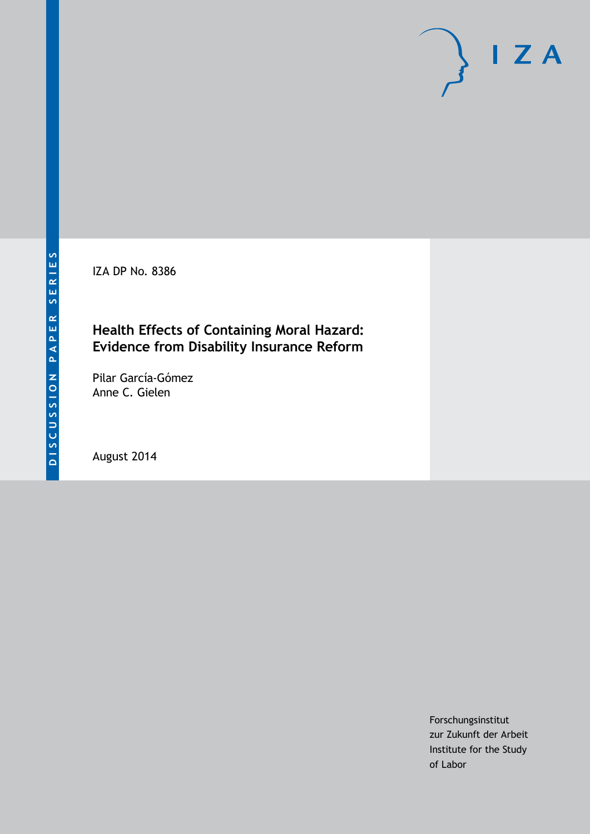IZA DP No. 8386

# **Health Effects of Containing Moral Hazard: Evidence from Disability Insurance Reform**

Pilar García-Gómez Anne C. Gielen

August 2014

Forschungsinstitut zur Zukunft der Arbeit Institute for the Study of Labor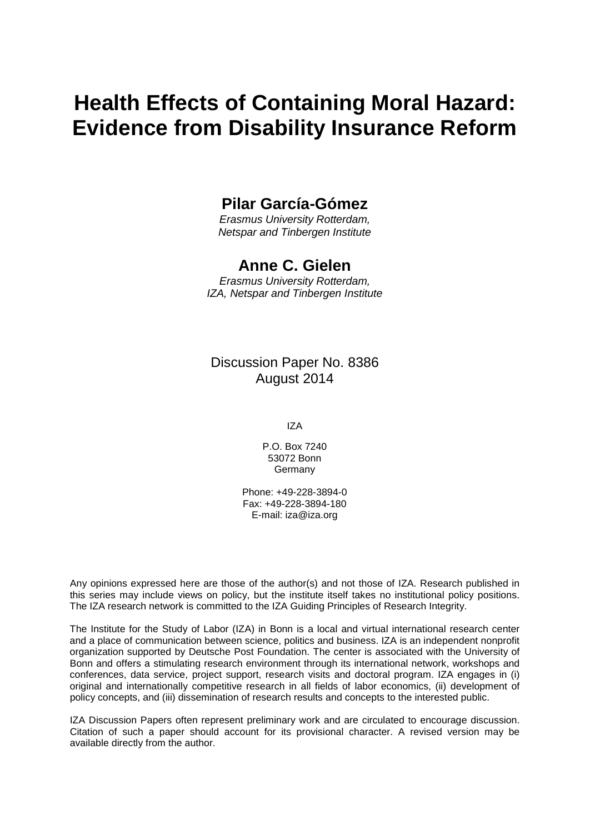# **Health Effects of Containing Moral Hazard: Evidence from Disability Insurance Reform**

# **Pilar García-Gómez**

*Erasmus University Rotterdam, Netspar and Tinbergen Institute*

## **Anne C. Gielen**

*Erasmus University Rotterdam, IZA, Netspar and Tinbergen Institute*

### Discussion Paper No. 8386 August 2014

IZA

P.O. Box 7240 53072 Bonn Germany

Phone: +49-228-3894-0 Fax: +49-228-3894-180 E-mail: [iza@iza.org](mailto:iza@iza.org)

Any opinions expressed here are those of the author(s) and not those of IZA. Research published in this series may include views on policy, but the institute itself takes no institutional policy positions. The IZA research network is committed to the IZA Guiding Principles of Research Integrity.

The Institute for the Study of Labor (IZA) in Bonn is a local and virtual international research center and a place of communication between science, politics and business. IZA is an independent nonprofit organization supported by Deutsche Post Foundation. The center is associated with the University of Bonn and offers a stimulating research environment through its international network, workshops and conferences, data service, project support, research visits and doctoral program. IZA engages in (i) original and internationally competitive research in all fields of labor economics, (ii) development of policy concepts, and (iii) dissemination of research results and concepts to the interested public.

IZA Discussion Papers often represent preliminary work and are circulated to encourage discussion. Citation of such a paper should account for its provisional character. A revised version may be available directly from the author.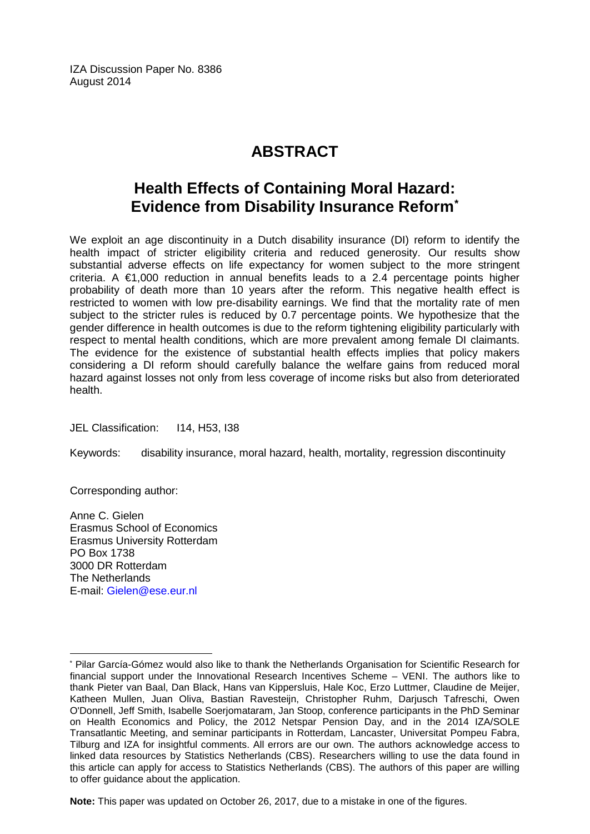IZA Discussion Paper No. 8386 August 2014

# **ABSTRACT**

# **Health Effects of Containing Moral Hazard: Evidence from Disability Insurance Reform[\\*](#page-2-0)**

We exploit an age discontinuity in a Dutch disability insurance (DI) reform to identify the health impact of stricter eligibility criteria and reduced generosity. Our results show substantial adverse effects on life expectancy for women subject to the more stringent criteria. A  $\epsilon$ 1,000 reduction in annual benefits leads to a 2.4 percentage points higher probability of death more than 10 years after the reform. This negative health effect is restricted to women with low pre-disability earnings. We find that the mortality rate of men subject to the stricter rules is reduced by 0.7 percentage points. We hypothesize that the gender difference in health outcomes is due to the reform tightening eligibility particularly with respect to mental health conditions, which are more prevalent among female DI claimants. The evidence for the existence of substantial health effects implies that policy makers considering a DI reform should carefully balance the welfare gains from reduced moral hazard against losses not only from less coverage of income risks but also from deteriorated health.

JEL Classification: I14, H53, I38

Keywords: disability insurance, moral hazard, health, mortality, regression discontinuity

Corresponding author:

 $\overline{a}$ 

Anne C. Gielen Erasmus School of Economics Erasmus University Rotterdam PO Box 1738 3000 DR Rotterdam The Netherlands E-mail: [Gielen@ese.eur.nl](mailto:Gielen@ese.eur.nl)

**Note:** This paper was updated on October 26, 2017, due to a mistake in one of the figures.

<span id="page-2-0"></span><sup>\*</sup> Pilar García-Gómez would also like to thank the Netherlands Organisation for Scientific Research for financial support under the Innovational Research Incentives Scheme – VENI. The authors like to thank Pieter van Baal, Dan Black, Hans van Kippersluis, Hale Koc, Erzo Luttmer, Claudine de Meijer, Katheen Mullen, Juan Oliva, Bastian Ravesteijn, Christopher Ruhm, Darjusch Tafreschi, Owen O'Donnell, Jeff Smith, Isabelle Soerjomataram, Jan Stoop, conference participants in the PhD Seminar on Health Economics and Policy, the 2012 Netspar Pension Day, and in the 2014 IZA/SOLE Transatlantic Meeting, and seminar participants in Rotterdam, Lancaster, Universitat Pompeu Fabra, Tilburg and IZA for insightful comments. All errors are our own. The authors acknowledge access to linked data resources by Statistics Netherlands (CBS). Researchers willing to use the data found in this article can apply for access to Statistics Netherlands (CBS). The authors of this paper are willing to offer guidance about the application.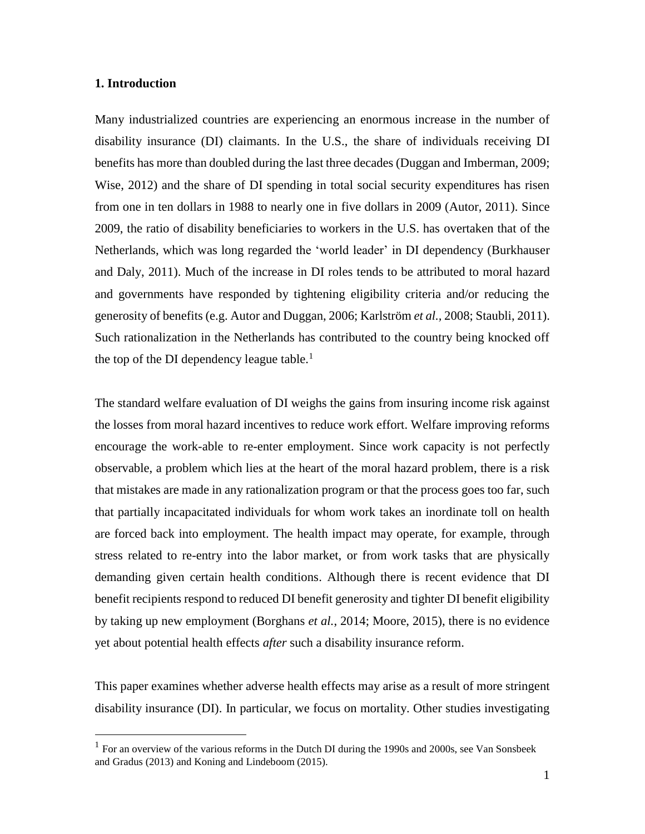#### **1. Introduction**

 $\overline{a}$ 

Many industrialized countries are experiencing an enormous increase in the number of disability insurance (DI) claimants. In the U.S., the share of individuals receiving DI benefits has more than doubled during the last three decades (Duggan and Imberman, 2009; Wise, 2012) and the share of DI spending in total social security expenditures has risen from one in ten dollars in 1988 to nearly one in five dollars in 2009 (Autor, 2011). Since 2009, the ratio of disability beneficiaries to workers in the U.S. has overtaken that of the Netherlands, which was long regarded the 'world leader' in DI dependency (Burkhauser and Daly, 2011). Much of the increase in DI roles tends to be attributed to moral hazard and governments have responded by tightening eligibility criteria and/or reducing the generosity of benefits (e.g. Autor and Duggan, 2006; Karlström *et al.,* 2008; Staubli, 2011). Such rationalization in the Netherlands has contributed to the country being knocked off the top of the DI dependency league table.<sup>1</sup>

The standard welfare evaluation of DI weighs the gains from insuring income risk against the losses from moral hazard incentives to reduce work effort. Welfare improving reforms encourage the work-able to re-enter employment. Since work capacity is not perfectly observable, a problem which lies at the heart of the moral hazard problem, there is a risk that mistakes are made in any rationalization program or that the process goes too far, such that partially incapacitated individuals for whom work takes an inordinate toll on health are forced back into employment. The health impact may operate, for example, through stress related to re-entry into the labor market, or from work tasks that are physically demanding given certain health conditions. Although there is recent evidence that DI benefit recipients respond to reduced DI benefit generosity and tighter DI benefit eligibility by taking up new employment (Borghans *et al.*, 2014; Moore, 2015), there is no evidence yet about potential health effects *after* such a disability insurance reform.

This paper examines whether adverse health effects may arise as a result of more stringent disability insurance (DI). In particular, we focus on mortality. Other studies investigating

 $<sup>1</sup>$  For an overview of the various reforms in the Dutch DI during the 1990s and 2000s, see Van Sonsbeek</sup> and Gradus (2013) and Koning and Lindeboom (2015).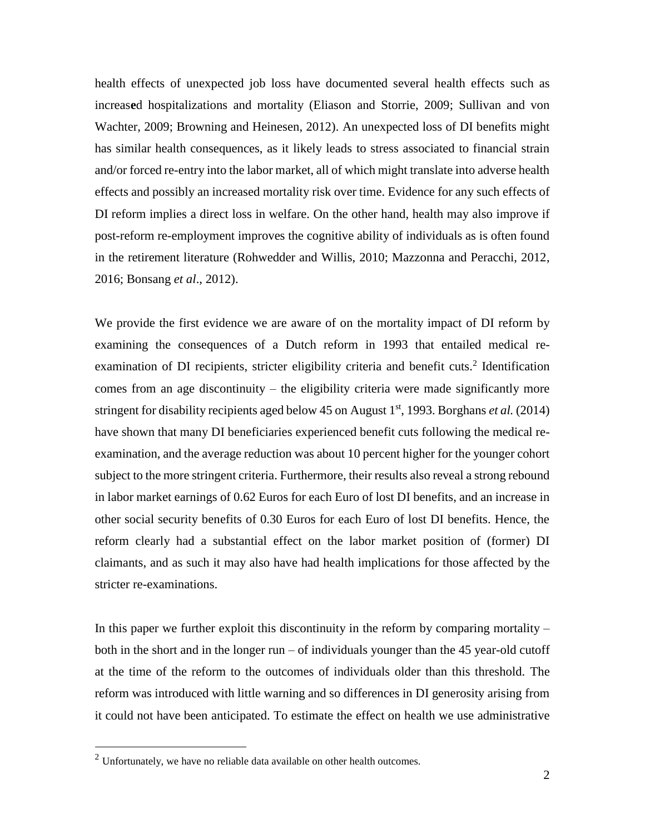health effects of unexpected job loss have documented several health effects such as increas**e**d hospitalizations and mortality (Eliason and Storrie, 2009; Sullivan and von Wachter, 2009; Browning and Heinesen, 2012). An unexpected loss of DI benefits might has similar health consequences, as it likely leads to stress associated to financial strain and/or forced re-entry into the labor market, all of which might translate into adverse health effects and possibly an increased mortality risk over time. Evidence for any such effects of DI reform implies a direct loss in welfare. On the other hand, health may also improve if post-reform re-employment improves the cognitive ability of individuals as is often found in the retirement literature (Rohwedder and Willis, 2010; Mazzonna and Peracchi, 2012, 2016; Bonsang *et al*., 2012).

We provide the first evidence we are aware of on the mortality impact of DI reform by examining the consequences of a Dutch reform in 1993 that entailed medical reexamination of DI recipients, stricter eligibility criteria and benefit cuts.<sup>2</sup> Identification comes from an age discontinuity – the eligibility criteria were made significantly more stringent for disability recipients aged below 45 on August 1<sup>st</sup>, 1993. Borghans *et al.* (2014) have shown that many DI beneficiaries experienced benefit cuts following the medical reexamination, and the average reduction was about 10 percent higher for the younger cohort subject to the more stringent criteria. Furthermore, their results also reveal a strong rebound in labor market earnings of 0.62 Euros for each Euro of lost DI benefits, and an increase in other social security benefits of 0.30 Euros for each Euro of lost DI benefits. Hence, the reform clearly had a substantial effect on the labor market position of (former) DI claimants, and as such it may also have had health implications for those affected by the stricter re-examinations.

In this paper we further exploit this discontinuity in the reform by comparing mortality  $$ both in the short and in the longer run – of individuals younger than the 45 year-old cutoff at the time of the reform to the outcomes of individuals older than this threshold. The reform was introduced with little warning and so differences in DI generosity arising from it could not have been anticipated. To estimate the effect on health we use administrative

<sup>2</sup> Unfortunately, we have no reliable data available on other health outcomes.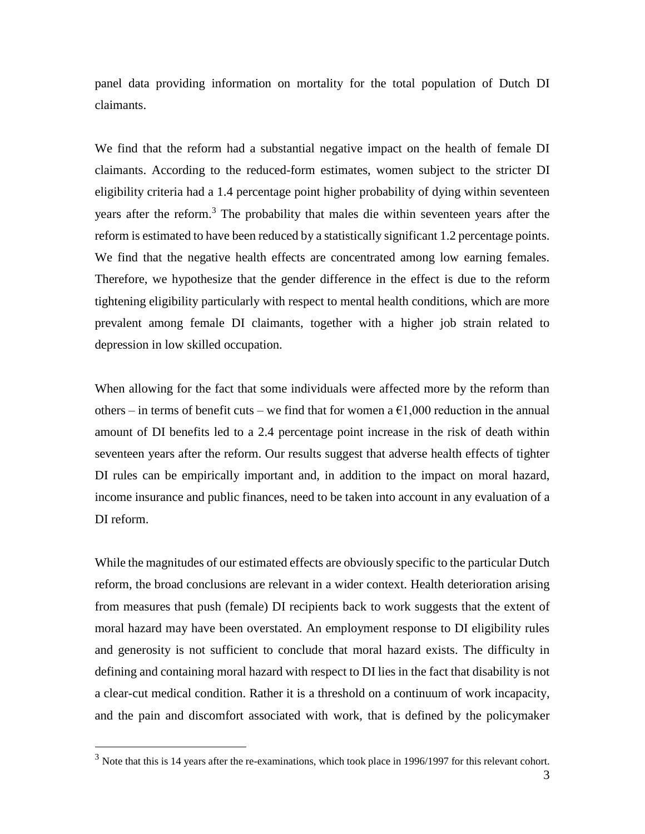panel data providing information on mortality for the total population of Dutch DI claimants.

We find that the reform had a substantial negative impact on the health of female DI claimants. According to the reduced-form estimates, women subject to the stricter DI eligibility criteria had a 1.4 percentage point higher probability of dying within seventeen years after the reform. <sup>3</sup> The probability that males die within seventeen years after the reform is estimated to have been reduced by a statistically significant 1.2 percentage points. We find that the negative health effects are concentrated among low earning females. Therefore, we hypothesize that the gender difference in the effect is due to the reform tightening eligibility particularly with respect to mental health conditions, which are more prevalent among female DI claimants, together with a higher job strain related to depression in low skilled occupation.

When allowing for the fact that some individuals were affected more by the reform than others – in terms of benefit cuts – we find that for women a  $\epsilon$ 1,000 reduction in the annual amount of DI benefits led to a 2.4 percentage point increase in the risk of death within seventeen years after the reform. Our results suggest that adverse health effects of tighter DI rules can be empirically important and, in addition to the impact on moral hazard, income insurance and public finances, need to be taken into account in any evaluation of a DI reform.

While the magnitudes of our estimated effects are obviously specific to the particular Dutch reform, the broad conclusions are relevant in a wider context. Health deterioration arising from measures that push (female) DI recipients back to work suggests that the extent of moral hazard may have been overstated. An employment response to DI eligibility rules and generosity is not sufficient to conclude that moral hazard exists. The difficulty in defining and containing moral hazard with respect to DI lies in the fact that disability is not a clear-cut medical condition. Rather it is a threshold on a continuum of work incapacity, and the pain and discomfort associated with work, that is defined by the policymaker

<sup>&</sup>lt;sup>3</sup> Note that this is 14 years after the re-examinations, which took place in 1996/1997 for this relevant cohort.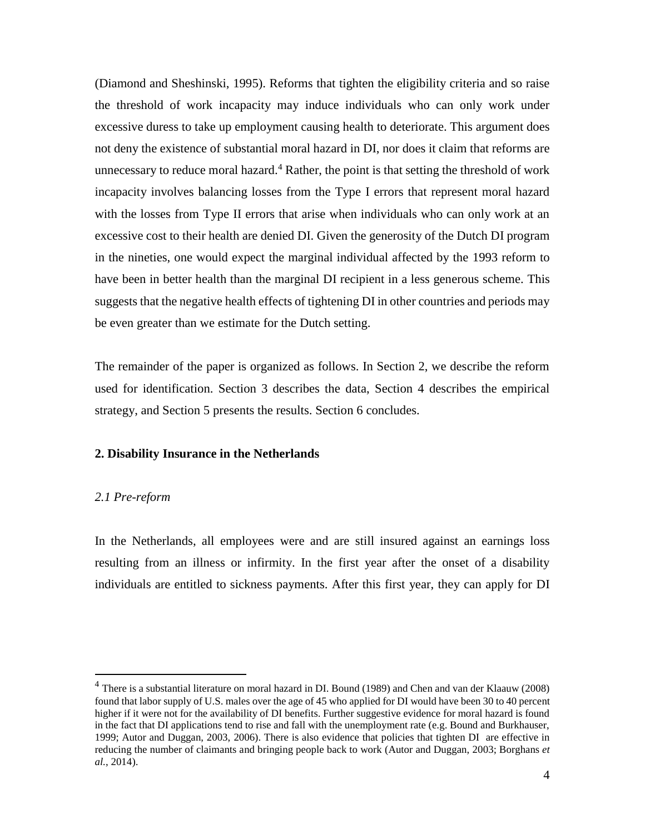(Diamond and Sheshinski, 1995). Reforms that tighten the eligibility criteria and so raise the threshold of work incapacity may induce individuals who can only work under excessive duress to take up employment causing health to deteriorate. This argument does not deny the existence of substantial moral hazard in DI, nor does it claim that reforms are unnecessary to reduce moral hazard.<sup>4</sup> Rather, the point is that setting the threshold of work incapacity involves balancing losses from the Type I errors that represent moral hazard with the losses from Type II errors that arise when individuals who can only work at an excessive cost to their health are denied DI. Given the generosity of the Dutch DI program in the nineties, one would expect the marginal individual affected by the 1993 reform to have been in better health than the marginal DI recipient in a less generous scheme. This suggests that the negative health effects of tightening DI in other countries and periods may be even greater than we estimate for the Dutch setting.

The remainder of the paper is organized as follows. In Section 2, we describe the reform used for identification. Section 3 describes the data, Section 4 describes the empirical strategy, and Section 5 presents the results. Section 6 concludes.

#### **2. Disability Insurance in the Netherlands**

#### *2.1 Pre-reform*

 $\overline{a}$ 

In the Netherlands, all employees were and are still insured against an earnings loss resulting from an illness or infirmity. In the first year after the onset of a disability individuals are entitled to sickness payments. After this first year, they can apply for DI

<sup>&</sup>lt;sup>4</sup> There is a substantial literature on moral hazard in DI. Bound (1989) and Chen and van der Klaauw (2008) found that labor supply of U.S. males over the age of 45 who applied for DI would have been 30 to 40 percent higher if it were not for the availability of DI benefits. Further suggestive evidence for moral hazard is found in the fact that DI applications tend to rise and fall with the unemployment rate (e.g. Bound and Burkhauser, 1999; Autor and Duggan, 2003, 2006). There is also evidence that policies that tighten DI are effective in reducing the number of claimants and bringing people back to work (Autor and Duggan, 2003; Borghans *et al.*, 2014).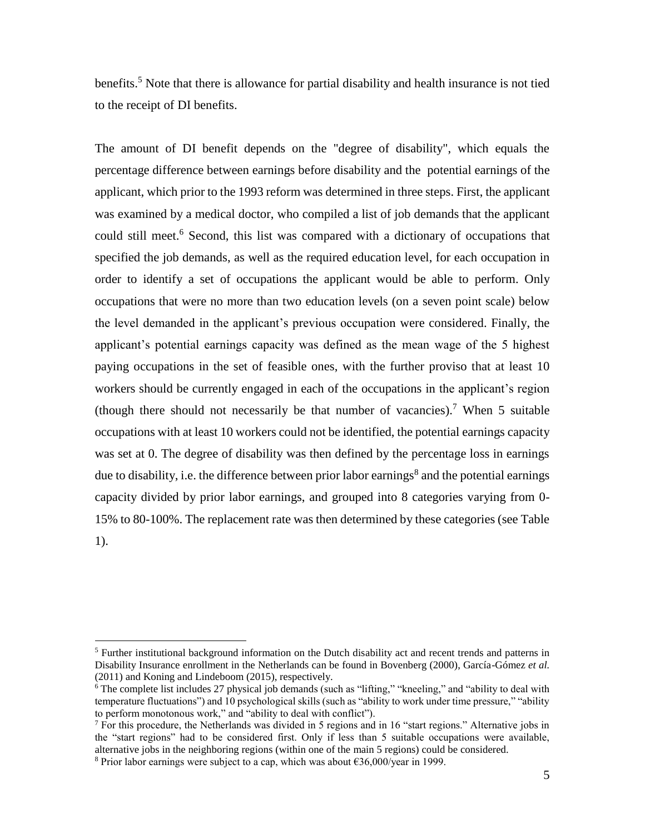benefits.<sup>5</sup> Note that there is allowance for partial disability and health insurance is not tied to the receipt of DI benefits.

The amount of DI benefit depends on the "degree of disability", which equals the percentage difference between earnings before disability and the potential earnings of the applicant, which prior to the 1993 reform was determined in three steps. First, the applicant was examined by a medical doctor, who compiled a list of job demands that the applicant could still meet.<sup>6</sup> Second, this list was compared with a dictionary of occupations that specified the job demands, as well as the required education level, for each occupation in order to identify a set of occupations the applicant would be able to perform. Only occupations that were no more than two education levels (on a seven point scale) below the level demanded in the applicant's previous occupation were considered. Finally, the applicant's potential earnings capacity was defined as the mean wage of the 5 highest paying occupations in the set of feasible ones, with the further proviso that at least 10 workers should be currently engaged in each of the occupations in the applicant's region (though there should not necessarily be that number of vacancies).<sup>7</sup> When 5 suitable occupations with at least 10 workers could not be identified, the potential earnings capacity was set at 0. The degree of disability was then defined by the percentage loss in earnings due to disability, i.e. the difference between prior labor earnings<sup>8</sup> and the potential earnings capacity divided by prior labor earnings, and grouped into 8 categories varying from 0- 15% to 80-100%. The replacement rate was then determined by these categories (see Table 1).

 $<sup>5</sup>$  Further institutional background information on the Dutch disability act and recent trends and patterns in</sup> Disability Insurance enrollment in the Netherlands can be found in Bovenberg (2000), García-Gómez *et al.* (2011) and Koning and Lindeboom (2015), respectively.

 $6$  The complete list includes 27 physical job demands (such as "lifting," "kneeling," and "ability to deal with temperature fluctuations") and 10 psychological skills (such as "ability to work under time pressure," "ability to perform monotonous work," and "ability to deal with conflict").

 $<sup>7</sup>$  For this procedure, the Netherlands was divided in 5 regions and in 16 "start regions." Alternative jobs in</sup> the "start regions" had to be considered first. Only if less than 5 suitable occupations were available, alternative jobs in the neighboring regions (within one of the main 5 regions) could be considered.

<sup>&</sup>lt;sup>8</sup> Prior labor earnings were subject to a cap, which was about  $\epsilon$ 36,000/year in 1999.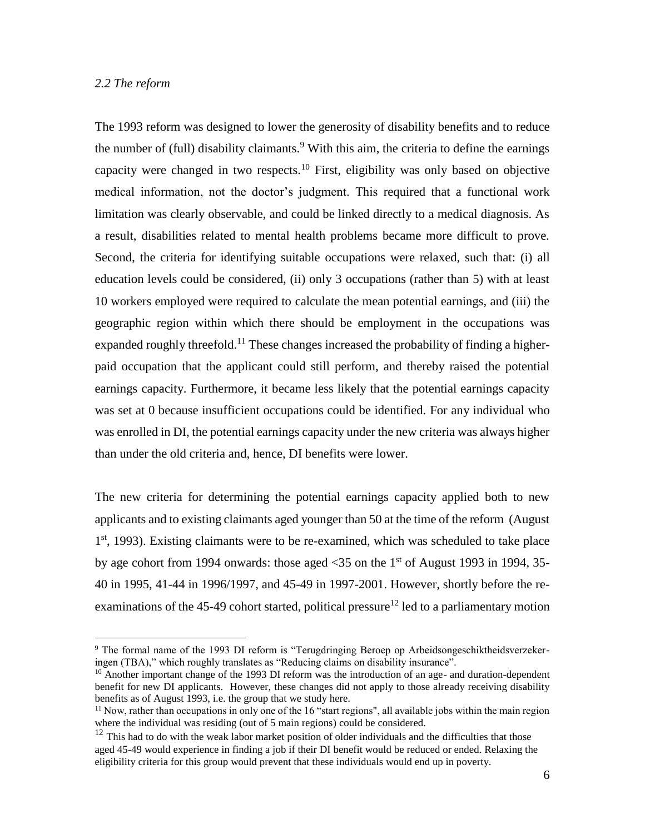#### *2.2 The reform*

 $\overline{a}$ 

The 1993 reform was designed to lower the generosity of disability benefits and to reduce the number of (full) disability claimants.<sup>9</sup> With this aim, the criteria to define the earnings capacity were changed in two respects.<sup>10</sup> First, eligibility was only based on objective medical information, not the doctor's judgment. This required that a functional work limitation was clearly observable, and could be linked directly to a medical diagnosis. As a result, disabilities related to mental health problems became more difficult to prove. Second, the criteria for identifying suitable occupations were relaxed, such that: (i) all education levels could be considered, (ii) only 3 occupations (rather than 5) with at least 10 workers employed were required to calculate the mean potential earnings, and (iii) the geographic region within which there should be employment in the occupations was expanded roughly threefold.<sup>11</sup> These changes increased the probability of finding a higherpaid occupation that the applicant could still perform, and thereby raised the potential earnings capacity. Furthermore, it became less likely that the potential earnings capacity was set at 0 because insufficient occupations could be identified. For any individual who was enrolled in DI, the potential earnings capacity under the new criteria was always higher than under the old criteria and, hence, DI benefits were lower.

The new criteria for determining the potential earnings capacity applied both to new applicants and to existing claimants aged younger than 50 at the time of the reform (August 1<sup>st</sup>, 1993). Existing claimants were to be re-examined, which was scheduled to take place by age cohort from 1994 onwards: those aged  $\langle 35 \rangle$  on the 1st of August 1993 in 1994, 35-40 in 1995, 41-44 in 1996/1997, and 45-49 in 1997-2001. However, shortly before the reexaminations of the 45-49 cohort started, political pressure<sup>12</sup> led to a parliamentary motion

<sup>9</sup> The formal name of the 1993 DI reform is "Terugdringing Beroep op Arbeidsongeschiktheidsverzekeringen (TBA)," which roughly translates as "Reducing claims on disability insurance".

 $10$  Another important change of the 1993 DI reform was the introduction of an age- and duration-dependent benefit for new DI applicants. However, these changes did not apply to those already receiving disability benefits as of August 1993, i.e. the group that we study here.

 $11$  Now, rather than occupations in only one of the 16 "start regions", all available jobs within the main region where the individual was residing (out of 5 main regions) could be considered.

 $12$  This had to do with the weak labor market position of older individuals and the difficulties that those aged 45-49 would experience in finding a job if their DI benefit would be reduced or ended. Relaxing the eligibility criteria for this group would prevent that these individuals would end up in poverty.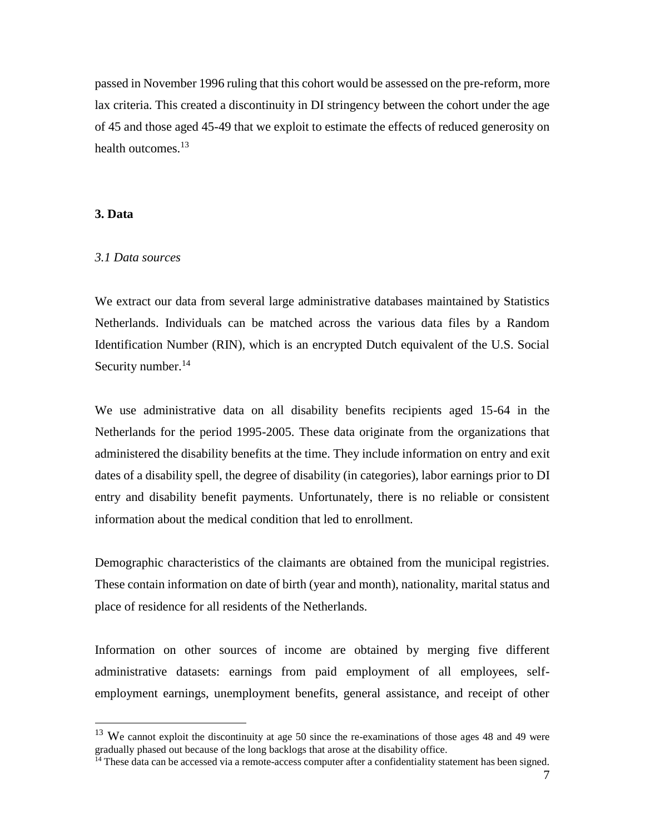passed in November 1996 ruling that this cohort would be assessed on the pre-reform, more lax criteria. This created a discontinuity in DI stringency between the cohort under the age of 45 and those aged 45-49 that we exploit to estimate the effects of reduced generosity on health outcomes.<sup>13</sup>

#### **3. Data**

 $\overline{a}$ 

#### *3.1 Data sources*

We extract our data from several large administrative databases maintained by Statistics Netherlands. Individuals can be matched across the various data files by a Random Identification Number (RIN), which is an encrypted Dutch equivalent of the U.S. Social Security number.<sup>14</sup>

We use administrative data on all disability benefits recipients aged 15-64 in the Netherlands for the period 1995-2005. These data originate from the organizations that administered the disability benefits at the time. They include information on entry and exit dates of a disability spell, the degree of disability (in categories), labor earnings prior to DI entry and disability benefit payments. Unfortunately, there is no reliable or consistent information about the medical condition that led to enrollment.

Demographic characteristics of the claimants are obtained from the municipal registries. These contain information on date of birth (year and month), nationality, marital status and place of residence for all residents of the Netherlands.

Information on other sources of income are obtained by merging five different administrative datasets: earnings from paid employment of all employees, selfemployment earnings, unemployment benefits, general assistance, and receipt of other

 $13$  We cannot exploit the discontinuity at age 50 since the re-examinations of those ages 48 and 49 were gradually phased out because of the long backlogs that arose at the disability office.

 $\frac{14}{14}$  These data can be accessed via a remote-access computer after a confidentiality statement has been signed.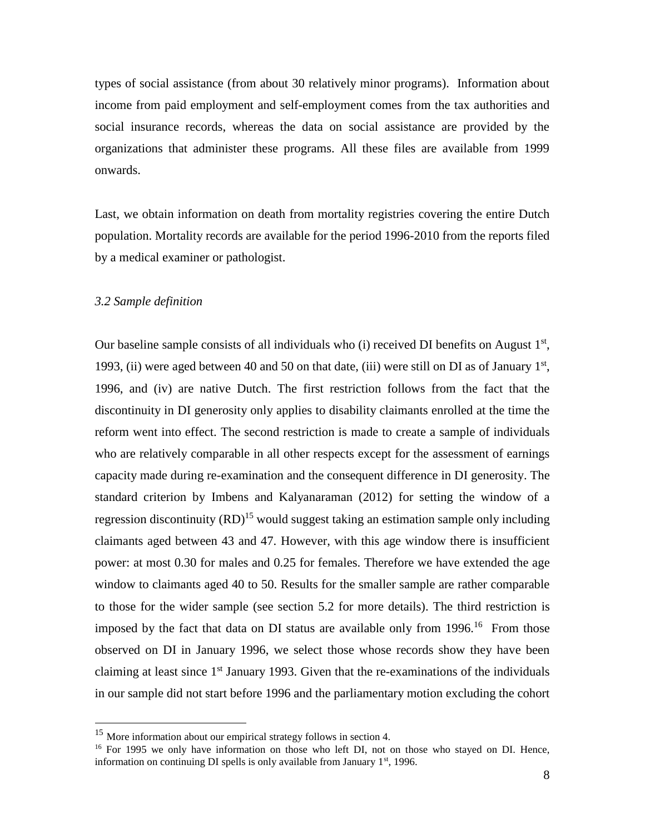types of social assistance (from about 30 relatively minor programs). Information about income from paid employment and self-employment comes from the tax authorities and social insurance records, whereas the data on social assistance are provided by the organizations that administer these programs. All these files are available from 1999 onwards.

Last, we obtain information on death from mortality registries covering the entire Dutch population. Mortality records are available for the period 1996-2010 from the reports filed by a medical examiner or pathologist.

#### *3.2 Sample definition*

 $\overline{a}$ 

Our baseline sample consists of all individuals who  $(i)$  received DI benefits on August  $1<sup>st</sup>$ , 1993, (ii) were aged between 40 and 50 on that date, (iii) were still on DI as of January  $1<sup>st</sup>$ , 1996, and (iv) are native Dutch. The first restriction follows from the fact that the discontinuity in DI generosity only applies to disability claimants enrolled at the time the reform went into effect. The second restriction is made to create a sample of individuals who are relatively comparable in all other respects except for the assessment of earnings capacity made during re-examination and the consequent difference in DI generosity. The standard criterion by Imbens and Kalyanaraman (2012) for setting the window of a regression discontinuity  $(RD)^{15}$  would suggest taking an estimation sample only including claimants aged between 43 and 47. However, with this age window there is insufficient power: at most 0.30 for males and 0.25 for females. Therefore we have extended the age window to claimants aged 40 to 50. Results for the smaller sample are rather comparable to those for the wider sample (see section 5.2 for more details). The third restriction is imposed by the fact that data on DI status are available only from 1996.<sup>16</sup> From those observed on DI in January 1996, we select those whose records show they have been claiming at least since  $1<sup>st</sup>$  January 1993. Given that the re-examinations of the individuals in our sample did not start before 1996 and the parliamentary motion excluding the cohort

<sup>&</sup>lt;sup>15</sup> More information about our empirical strategy follows in section 4.

<sup>&</sup>lt;sup>16</sup> For 1995 we only have information on those who left DI, not on those who stayed on DI. Hence, information on continuing DI spells is only available from January  $1<sup>st</sup>$ , 1996.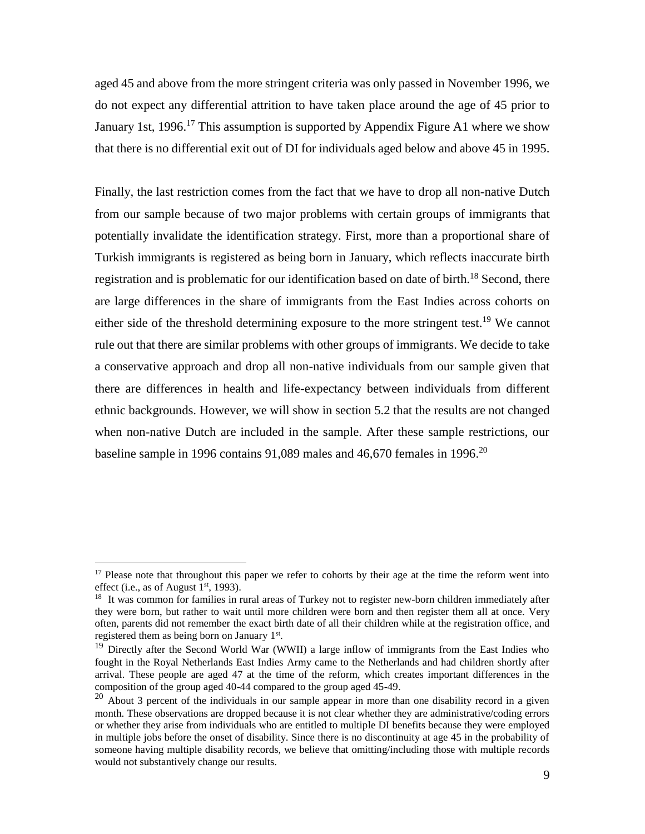aged 45 and above from the more stringent criteria was only passed in November 1996, we do not expect any differential attrition to have taken place around the age of 45 prior to January 1st, 1996.<sup>17</sup> This assumption is supported by Appendix Figure A1 where we show that there is no differential exit out of DI for individuals aged below and above 45 in 1995.

Finally, the last restriction comes from the fact that we have to drop all non-native Dutch from our sample because of two major problems with certain groups of immigrants that potentially invalidate the identification strategy. First, more than a proportional share of Turkish immigrants is registered as being born in January, which reflects inaccurate birth registration and is problematic for our identification based on date of birth.<sup>18</sup> Second, there are large differences in the share of immigrants from the East Indies across cohorts on either side of the threshold determining exposure to the more stringent test.<sup>19</sup> We cannot rule out that there are similar problems with other groups of immigrants. We decide to take a conservative approach and drop all non-native individuals from our sample given that there are differences in health and life-expectancy between individuals from different ethnic backgrounds. However, we will show in section 5.2 that the results are not changed when non-native Dutch are included in the sample. After these sample restrictions, our baseline sample in 1996 contains 91,089 males and 46,670 females in 1996.<sup>20</sup>

<sup>&</sup>lt;sup>17</sup> Please note that throughout this paper we refer to cohorts by their age at the time the reform went into effect (i.e., as of August  $1<sup>st</sup>$ , 1993).

<sup>&</sup>lt;sup>18</sup> It was common for families in rural areas of Turkey not to register new-born children immediately after they were born, but rather to wait until more children were born and then register them all at once. Very often, parents did not remember the exact birth date of all their children while at the registration office, and registered them as being born on January 1<sup>st</sup>.

 $19$  Directly after the Second World War (WWII) a large inflow of immigrants from the East Indies who fought in the Royal Netherlands East Indies Army came to the Netherlands and had children shortly after arrival. These people are aged 47 at the time of the reform, which creates important differences in the composition of the group aged 40-44 compared to the group aged 45-49.

 $20$  About 3 percent of the individuals in our sample appear in more than one disability record in a given month. These observations are dropped because it is not clear whether they are administrative/coding errors or whether they arise from individuals who are entitled to multiple DI benefits because they were employed in multiple jobs before the onset of disability. Since there is no discontinuity at age 45 in the probability of someone having multiple disability records, we believe that omitting/including those with multiple records would not substantively change our results.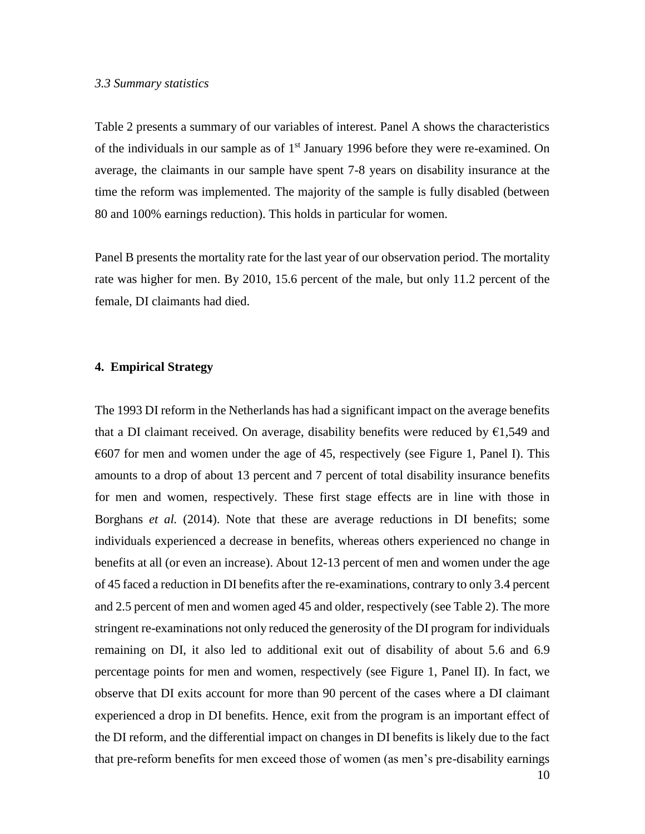#### *3.3 Summary statistics*

Table 2 presents a summary of our variables of interest. Panel A shows the characteristics of the individuals in our sample as of  $1<sup>st</sup>$  January 1996 before they were re-examined. On average, the claimants in our sample have spent 7-8 years on disability insurance at the time the reform was implemented. The majority of the sample is fully disabled (between 80 and 100% earnings reduction). This holds in particular for women.

Panel B presents the mortality rate for the last year of our observation period. The mortality rate was higher for men. By 2010, 15.6 percent of the male, but only 11.2 percent of the female, DI claimants had died.

#### **4. Empirical Strategy**

The 1993 DI reform in the Netherlands has had a significant impact on the average benefits that a DI claimant received. On average, disability benefits were reduced by  $\epsilon$ 1,549 and  $\epsilon$ 607 for men and women under the age of 45, respectively (see Figure 1, Panel I). This amounts to a drop of about 13 percent and 7 percent of total disability insurance benefits for men and women, respectively. These first stage effects are in line with those in Borghans *et al.* (2014). Note that these are average reductions in DI benefits; some individuals experienced a decrease in benefits, whereas others experienced no change in benefits at all (or even an increase). About 12-13 percent of men and women under the age of 45 faced a reduction in DI benefits after the re-examinations, contrary to only 3.4 percent and 2.5 percent of men and women aged 45 and older, respectively (see Table 2). The more stringent re-examinations not only reduced the generosity of the DI program for individuals remaining on DI, it also led to additional exit out of disability of about 5.6 and 6.9 percentage points for men and women, respectively (see Figure 1, Panel II). In fact, we observe that DI exits account for more than 90 percent of the cases where a DI claimant experienced a drop in DI benefits. Hence, exit from the program is an important effect of the DI reform, and the differential impact on changes in DI benefits is likely due to the fact that pre-reform benefits for men exceed those of women (as men's pre-disability earnings

10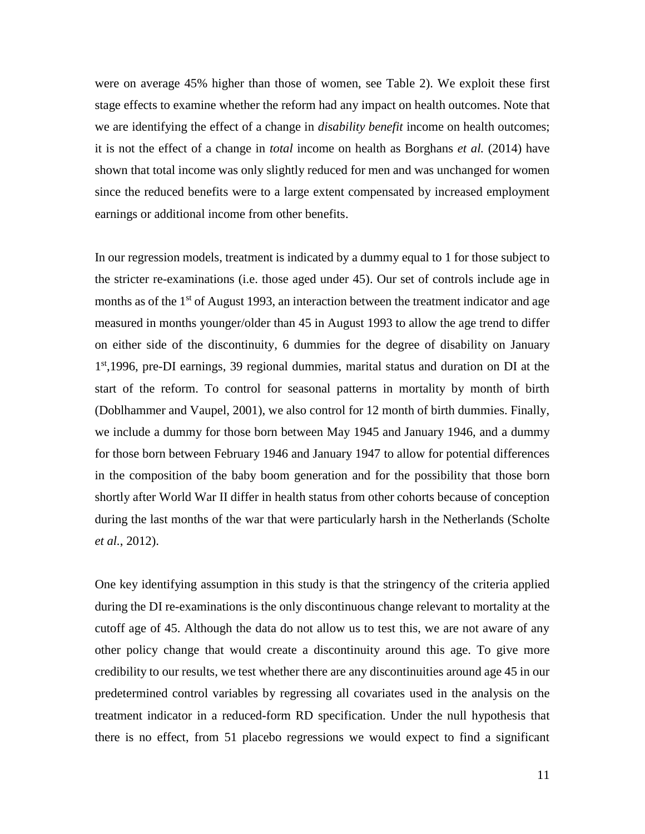were on average 45% higher than those of women, see Table 2). We exploit these first stage effects to examine whether the reform had any impact on health outcomes. Note that we are identifying the effect of a change in *disability benefit* income on health outcomes; it is not the effect of a change in *total* income on health as Borghans *et al.* (2014) have shown that total income was only slightly reduced for men and was unchanged for women since the reduced benefits were to a large extent compensated by increased employment earnings or additional income from other benefits.

In our regression models, treatment is indicated by a dummy equal to 1 for those subject to the stricter re-examinations (i.e. those aged under 45). Our set of controls include age in months as of the  $1<sup>st</sup>$  of August 1993, an interaction between the treatment indicator and age measured in months younger/older than 45 in August 1993 to allow the age trend to differ on either side of the discontinuity, 6 dummies for the degree of disability on January 1<sup>st</sup>,1996, pre-DI earnings, 39 regional dummies, marital status and duration on DI at the start of the reform. To control for seasonal patterns in mortality by month of birth (Doblhammer and Vaupel, 2001), we also control for 12 month of birth dummies. Finally, we include a dummy for those born between May 1945 and January 1946, and a dummy for those born between February 1946 and January 1947 to allow for potential differences in the composition of the baby boom generation and for the possibility that those born shortly after World War II differ in health status from other cohorts because of conception during the last months of the war that were particularly harsh in the Netherlands (Scholte *et al.*, 2012).

One key identifying assumption in this study is that the stringency of the criteria applied during the DI re-examinations is the only discontinuous change relevant to mortality at the cutoff age of 45. Although the data do not allow us to test this, we are not aware of any other policy change that would create a discontinuity around this age. To give more credibility to our results, we test whether there are any discontinuities around age 45 in our predetermined control variables by regressing all covariates used in the analysis on the treatment indicator in a reduced-form RD specification. Under the null hypothesis that there is no effect, from 51 placebo regressions we would expect to find a significant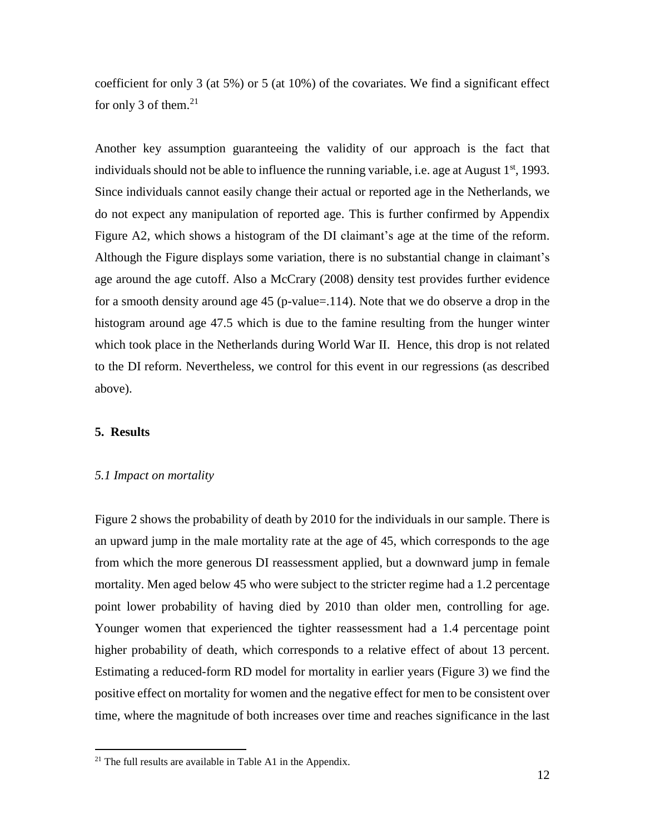coefficient for only 3 (at 5%) or 5 (at 10%) of the covariates. We find a significant effect for only 3 of them. $21$ 

Another key assumption guaranteeing the validity of our approach is the fact that individuals should not be able to influence the running variable, i.e. age at August  $1<sup>st</sup>$ , 1993. Since individuals cannot easily change their actual or reported age in the Netherlands, we do not expect any manipulation of reported age. This is further confirmed by Appendix Figure A2, which shows a histogram of the DI claimant's age at the time of the reform. Although the Figure displays some variation, there is no substantial change in claimant's age around the age cutoff. Also a McCrary (2008) density test provides further evidence for a smooth density around age 45 (p-value=.114). Note that we do observe a drop in the histogram around age 47.5 which is due to the famine resulting from the hunger winter which took place in the Netherlands during World War II. Hence, this drop is not related to the DI reform. Nevertheless, we control for this event in our regressions (as described above).

#### **5. Results**

 $\overline{a}$ 

#### *5.1 Impact on mortality*

Figure 2 shows the probability of death by 2010 for the individuals in our sample. There is an upward jump in the male mortality rate at the age of 45, which corresponds to the age from which the more generous DI reassessment applied, but a downward jump in female mortality. Men aged below 45 who were subject to the stricter regime had a 1.2 percentage point lower probability of having died by 2010 than older men, controlling for age. Younger women that experienced the tighter reassessment had a 1.4 percentage point higher probability of death, which corresponds to a relative effect of about 13 percent. Estimating a reduced-form RD model for mortality in earlier years (Figure 3) we find the positive effect on mortality for women and the negative effect for men to be consistent over time, where the magnitude of both increases over time and reaches significance in the last

 $21$  The full results are available in Table A1 in the Appendix.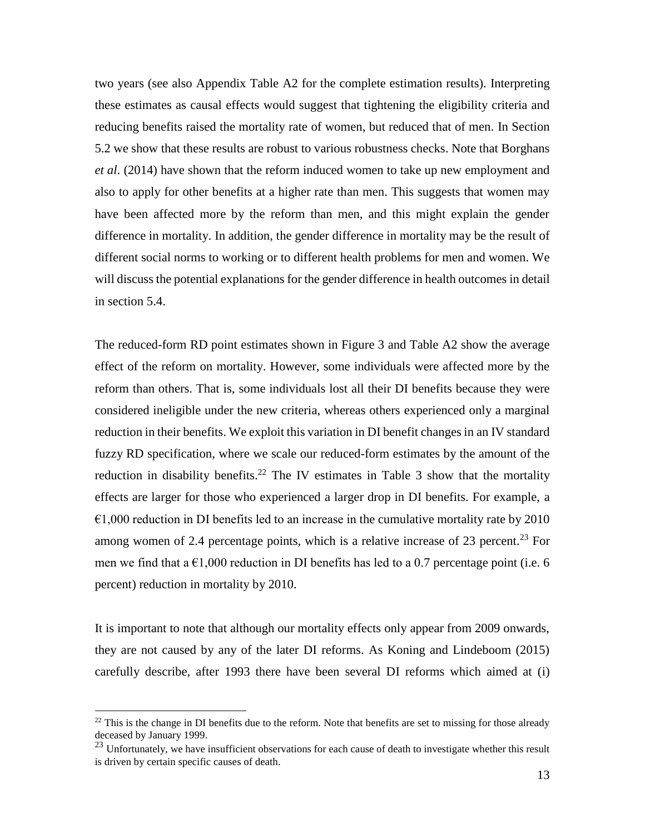two years (see also Appendix Table A2 for the complete estimation results). Interpreting these estimates as causal effects would suggest that tightening the eligibility criteria and reducing benefits raised the mortality rate of women, but reduced that of men. In Section 5.2 we show that these results are robust to various robustness checks. Note that Borghans *et al*. (2014) have shown that the reform induced women to take up new employment and also to apply for other benefits at a higher rate than men. This suggests that women may have been affected more by the reform than men, and this might explain the gender difference in mortality. In addition, the gender difference in mortality may be the result of different social norms to working or to different health problems for men and women. We will discuss the potential explanations for the gender difference in health outcomes in detail in section 5.4.

The reduced-form RD point estimates shown in Figure 3 and Table A2 show the average effect of the reform on mortality. However, some individuals were affected more by the reform than others. That is, some individuals lost all their DI benefits because they were considered ineligible under the new criteria, whereas others experienced only a marginal reduction in their benefits. We exploit this variation in DI benefit changes in an IV standard fuzzy RD specification, where we scale our reduced-form estimates by the amount of the reduction in disability benefits.<sup>22</sup> The IV estimates in Table 3 show that the mortality effects are larger for those who experienced a larger drop in DI benefits. For example, a  $\epsilon$ 1,000 reduction in DI benefits led to an increase in the cumulative mortality rate by 2010 among women of 2.4 percentage points, which is a relative increase of 23 percent.<sup>23</sup> For men we find that a  $\epsilon$ 1,000 reduction in DI benefits has led to a 0.7 percentage point (i.e. 6 percent) reduction in mortality by 2010.

It is important to note that although our mortality effects only appear from 2009 onwards, they are not caused by any of the later DI reforms. As Koning and Lindeboom (2015) carefully describe, after 1993 there have been several DI reforms which aimed at (i)

 $22$  This is the change in DI benefits due to the reform. Note that benefits are set to missing for those already deceased by January 1999.

 $^{23}$  Unfortunately, we have insufficient observations for each cause of death to investigate whether this result is driven by certain specific causes of death.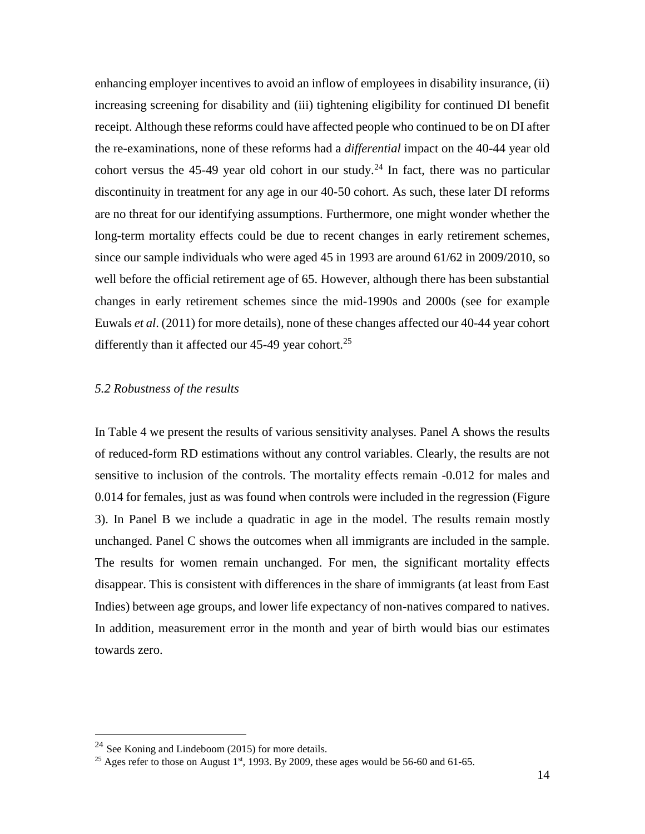enhancing employer incentives to avoid an inflow of employees in disability insurance, (ii) increasing screening for disability and (iii) tightening eligibility for continued DI benefit receipt. Although these reforms could have affected people who continued to be on DI after the re-examinations, none of these reforms had a *differential* impact on the 40-44 year old cohort versus the 45-49 year old cohort in our study.<sup>24</sup> In fact, there was no particular discontinuity in treatment for any age in our 40-50 cohort. As such, these later DI reforms are no threat for our identifying assumptions. Furthermore, one might wonder whether the long-term mortality effects could be due to recent changes in early retirement schemes, since our sample individuals who were aged 45 in 1993 are around 61/62 in 2009/2010, so well before the official retirement age of 65. However, although there has been substantial changes in early retirement schemes since the mid-1990s and 2000s (see for example Euwals *et al*. (2011) for more details), none of these changes affected our 40-44 year cohort differently than it affected our  $45-49$  year cohort.<sup>25</sup>

#### *5.2 Robustness of the results*

In Table 4 we present the results of various sensitivity analyses. Panel A shows the results of reduced-form RD estimations without any control variables. Clearly, the results are not sensitive to inclusion of the controls. The mortality effects remain -0.012 for males and 0.014 for females, just as was found when controls were included in the regression (Figure 3). In Panel B we include a quadratic in age in the model. The results remain mostly unchanged. Panel C shows the outcomes when all immigrants are included in the sample. The results for women remain unchanged. For men, the significant mortality effects disappear. This is consistent with differences in the share of immigrants (at least from East Indies) between age groups, and lower life expectancy of non-natives compared to natives. In addition, measurement error in the month and year of birth would bias our estimates towards zero.

<sup>24</sup> See Koning and Lindeboom (2015) for more details.

<sup>&</sup>lt;sup>25</sup> Ages refer to those on August 1<sup>st</sup>, 1993. By 2009, these ages would be 56-60 and 61-65.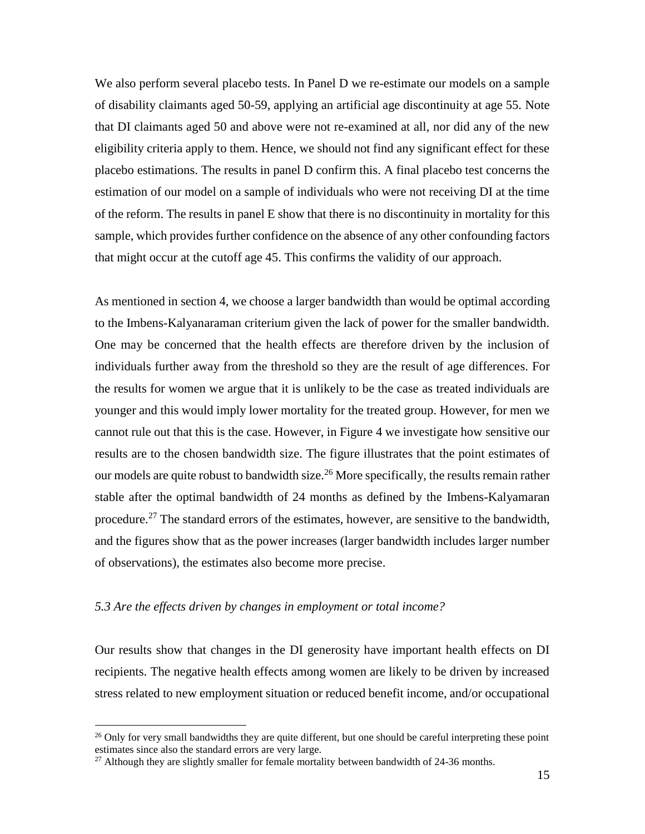We also perform several placebo tests. In Panel D we re-estimate our models on a sample of disability claimants aged 50-59, applying an artificial age discontinuity at age 55. Note that DI claimants aged 50 and above were not re-examined at all, nor did any of the new eligibility criteria apply to them. Hence, we should not find any significant effect for these placebo estimations. The results in panel D confirm this. A final placebo test concerns the estimation of our model on a sample of individuals who were not receiving DI at the time of the reform. The results in panel E show that there is no discontinuity in mortality for this sample, which provides further confidence on the absence of any other confounding factors that might occur at the cutoff age 45. This confirms the validity of our approach.

As mentioned in section 4, we choose a larger bandwidth than would be optimal according to the Imbens-Kalyanaraman criterium given the lack of power for the smaller bandwidth. One may be concerned that the health effects are therefore driven by the inclusion of individuals further away from the threshold so they are the result of age differences. For the results for women we argue that it is unlikely to be the case as treated individuals are younger and this would imply lower mortality for the treated group. However, for men we cannot rule out that this is the case. However, in Figure 4 we investigate how sensitive our results are to the chosen bandwidth size. The figure illustrates that the point estimates of our models are quite robust to bandwidth size.<sup>26</sup> More specifically, the results remain rather stable after the optimal bandwidth of 24 months as defined by the Imbens-Kalyamaran procedure.<sup>27</sup> The standard errors of the estimates, however, are sensitive to the bandwidth, and the figures show that as the power increases (larger bandwidth includes larger number of observations), the estimates also become more precise.

#### *5.3 Are the effects driven by changes in employment or total income?*

 $\overline{a}$ 

Our results show that changes in the DI generosity have important health effects on DI recipients. The negative health effects among women are likely to be driven by increased stress related to new employment situation or reduced benefit income, and/or occupational

<sup>&</sup>lt;sup>26</sup> Only for very small bandwidths they are quite different, but one should be careful interpreting these point estimates since also the standard errors are very large.

 $^{27}$  Although they are slightly smaller for female mortality between bandwidth of 24-36 months.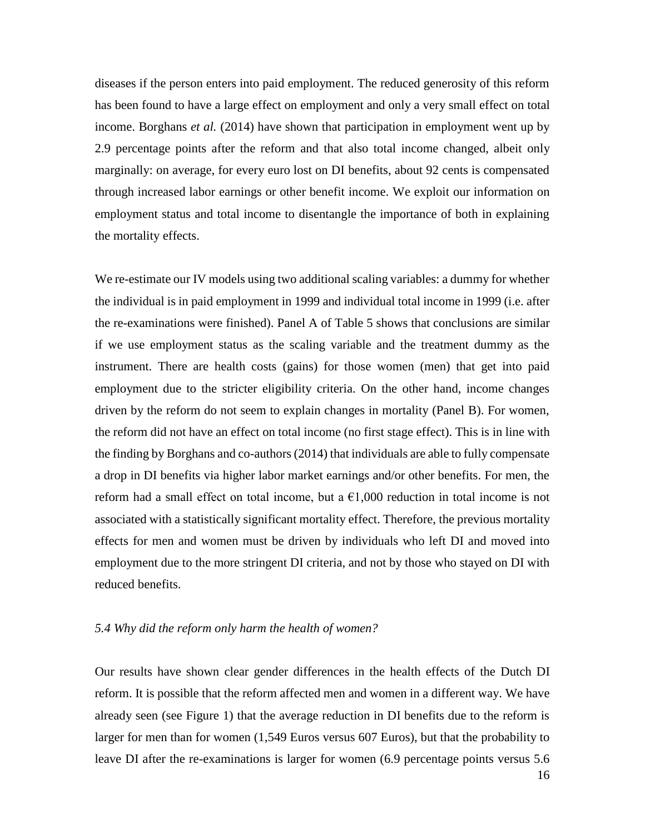diseases if the person enters into paid employment. The reduced generosity of this reform has been found to have a large effect on employment and only a very small effect on total income. Borghans *et al.* (2014) have shown that participation in employment went up by 2.9 percentage points after the reform and that also total income changed, albeit only marginally: on average, for every euro lost on DI benefits, about 92 cents is compensated through increased labor earnings or other benefit income. We exploit our information on employment status and total income to disentangle the importance of both in explaining the mortality effects.

We re-estimate our IV models using two additional scaling variables: a dummy for whether the individual is in paid employment in 1999 and individual total income in 1999 (i.e. after the re-examinations were finished). Panel A of Table 5 shows that conclusions are similar if we use employment status as the scaling variable and the treatment dummy as the instrument. There are health costs (gains) for those women (men) that get into paid employment due to the stricter eligibility criteria. On the other hand, income changes driven by the reform do not seem to explain changes in mortality (Panel B). For women, the reform did not have an effect on total income (no first stage effect). This is in line with the finding by Borghans and co-authors (2014) that individuals are able to fully compensate a drop in DI benefits via higher labor market earnings and/or other benefits. For men, the reform had a small effect on total income, but a  $\epsilon$ 1,000 reduction in total income is not associated with a statistically significant mortality effect. Therefore, the previous mortality effects for men and women must be driven by individuals who left DI and moved into employment due to the more stringent DI criteria, and not by those who stayed on DI with reduced benefits.

#### *5.4 Why did the reform only harm the health of women?*

Our results have shown clear gender differences in the health effects of the Dutch DI reform. It is possible that the reform affected men and women in a different way. We have already seen (see Figure 1) that the average reduction in DI benefits due to the reform is larger for men than for women (1,549 Euros versus 607 Euros), but that the probability to leave DI after the re-examinations is larger for women (6.9 percentage points versus 5.6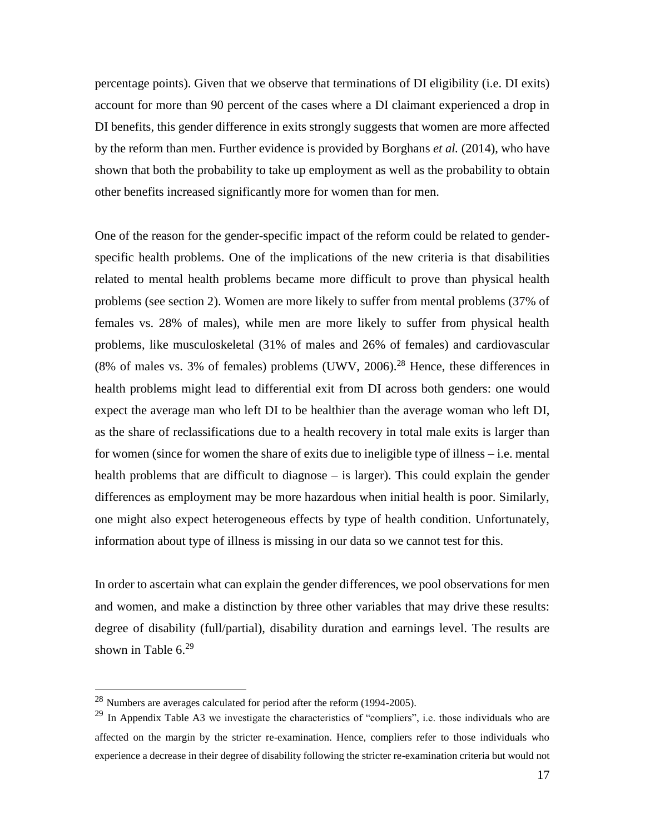percentage points). Given that we observe that terminations of DI eligibility (i.e. DI exits) account for more than 90 percent of the cases where a DI claimant experienced a drop in DI benefits, this gender difference in exits strongly suggests that women are more affected by the reform than men. Further evidence is provided by Borghans *et al.* (2014), who have shown that both the probability to take up employment as well as the probability to obtain other benefits increased significantly more for women than for men.

One of the reason for the gender-specific impact of the reform could be related to genderspecific health problems. One of the implications of the new criteria is that disabilities related to mental health problems became more difficult to prove than physical health problems (see section 2). Women are more likely to suffer from mental problems (37% of females vs. 28% of males), while men are more likely to suffer from physical health problems, like musculoskeletal (31% of males and 26% of females) and cardiovascular  $(8\% \text{ of males vs. } 3\% \text{ of females}) \text{ problems } (UWV, 2006).^{28} \text{ Hence, these differences in }$ health problems might lead to differential exit from DI across both genders: one would expect the average man who left DI to be healthier than the average woman who left DI, as the share of reclassifications due to a health recovery in total male exits is larger than for women (since for women the share of exits due to ineligible type of illness – i.e. mental health problems that are difficult to diagnose – is larger). This could explain the gender differences as employment may be more hazardous when initial health is poor. Similarly, one might also expect heterogeneous effects by type of health condition. Unfortunately, information about type of illness is missing in our data so we cannot test for this.

In order to ascertain what can explain the gender differences, we pool observations for men and women, and make a distinction by three other variables that may drive these results: degree of disability (full/partial), disability duration and earnings level. The results are shown in Table 6.<sup>29</sup>

<sup>28</sup> Numbers are averages calculated for period after the reform (1994-2005).

 $^{29}$  In Appendix Table A3 we investigate the characteristics of "compliers", i.e. those individuals who are affected on the margin by the stricter re-examination. Hence, compliers refer to those individuals who experience a decrease in their degree of disability following the stricter re-examination criteria but would not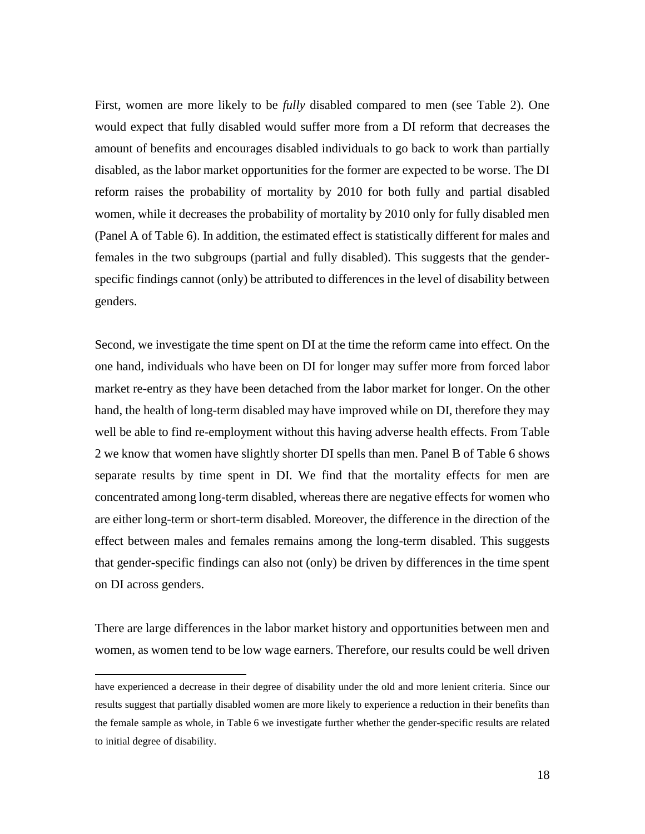First, women are more likely to be *fully* disabled compared to men (see Table 2). One would expect that fully disabled would suffer more from a DI reform that decreases the amount of benefits and encourages disabled individuals to go back to work than partially disabled, as the labor market opportunities for the former are expected to be worse. The DI reform raises the probability of mortality by 2010 for both fully and partial disabled women, while it decreases the probability of mortality by 2010 only for fully disabled men (Panel A of Table 6). In addition, the estimated effect is statistically different for males and females in the two subgroups (partial and fully disabled). This suggests that the genderspecific findings cannot (only) be attributed to differences in the level of disability between genders.

Second, we investigate the time spent on DI at the time the reform came into effect. On the one hand, individuals who have been on DI for longer may suffer more from forced labor market re-entry as they have been detached from the labor market for longer. On the other hand, the health of long-term disabled may have improved while on DI, therefore they may well be able to find re-employment without this having adverse health effects. From Table 2 we know that women have slightly shorter DI spells than men. Panel B of Table 6 shows separate results by time spent in DI. We find that the mortality effects for men are concentrated among long-term disabled, whereas there are negative effects for women who are either long-term or short-term disabled. Moreover, the difference in the direction of the effect between males and females remains among the long-term disabled. This suggests that gender-specific findings can also not (only) be driven by differences in the time spent on DI across genders.

There are large differences in the labor market history and opportunities between men and women, as women tend to be low wage earners. Therefore, our results could be well driven

have experienced a decrease in their degree of disability under the old and more lenient criteria. Since our results suggest that partially disabled women are more likely to experience a reduction in their benefits than the female sample as whole, in Table 6 we investigate further whether the gender-specific results are related to initial degree of disability.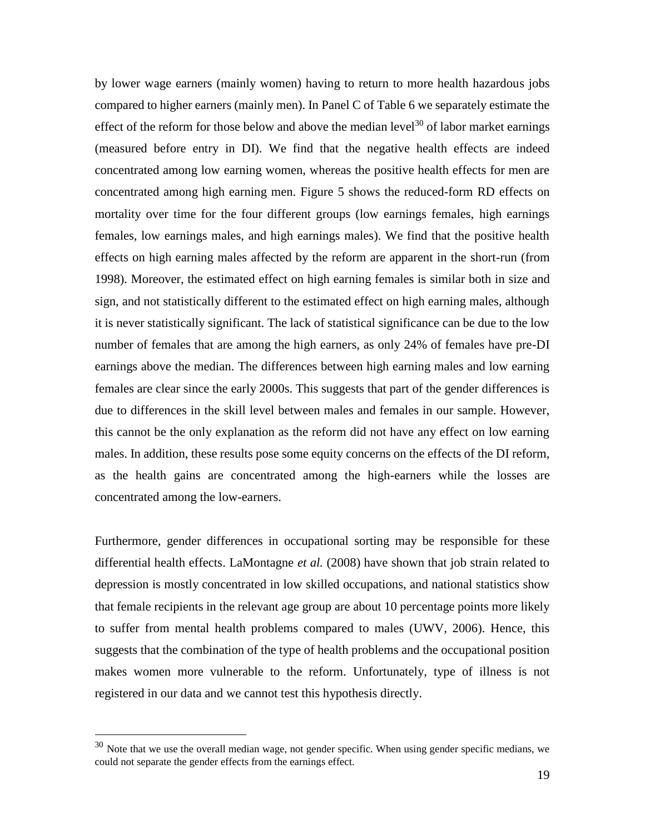by lower wage earners (mainly women) having to return to more health hazardous jobs compared to higher earners (mainly men). In Panel C of Table 6 we separately estimate the effect of the reform for those below and above the median level<sup>30</sup> of labor market earnings (measured before entry in DI). We find that the negative health effects are indeed concentrated among low earning women, whereas the positive health effects for men are concentrated among high earning men. Figure 5 shows the reduced-form RD effects on mortality over time for the four different groups (low earnings females, high earnings females, low earnings males, and high earnings males). We find that the positive health effects on high earning males affected by the reform are apparent in the short-run (from 1998). Moreover, the estimated effect on high earning females is similar both in size and sign, and not statistically different to the estimated effect on high earning males, although it is never statistically significant. The lack of statistical significance can be due to the low number of females that are among the high earners, as only 24% of females have pre-DI earnings above the median. The differences between high earning males and low earning females are clear since the early 2000s. This suggests that part of the gender differences is due to differences in the skill level between males and females in our sample. However, this cannot be the only explanation as the reform did not have any effect on low earning males. In addition, these results pose some equity concerns on the effects of the DI reform, as the health gains are concentrated among the high-earners while the losses are concentrated among the low-earners.

Furthermore, gender differences in occupational sorting may be responsible for these differential health effects. LaMontagne *et al.* (2008) have shown that job strain related to depression is mostly concentrated in low skilled occupations, and national statistics show that female recipients in the relevant age group are about 10 percentage points more likely to suffer from mental health problems compared to males (UWV, 2006). Hence, this suggests that the combination of the type of health problems and the occupational position makes women more vulnerable to the reform. Unfortunately, type of illness is not registered in our data and we cannot test this hypothesis directly.

<sup>&</sup>lt;sup>30</sup> Note that we use the overall median wage, not gender specific. When using gender specific medians, we could not separate the gender effects from the earnings effect.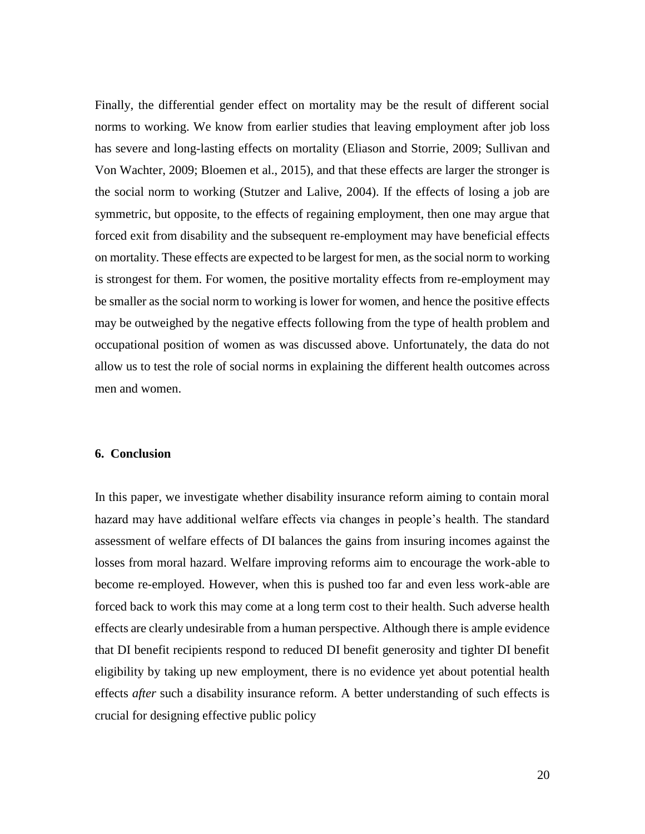Finally, the differential gender effect on mortality may be the result of different social norms to working. We know from earlier studies that leaving employment after job loss has severe and long-lasting effects on mortality (Eliason and Storrie, 2009; Sullivan and Von Wachter, 2009; Bloemen et al., 2015), and that these effects are larger the stronger is the social norm to working (Stutzer and Lalive, 2004). If the effects of losing a job are symmetric, but opposite, to the effects of regaining employment, then one may argue that forced exit from disability and the subsequent re-employment may have beneficial effects on mortality. These effects are expected to be largest for men, as the social norm to working is strongest for them. For women, the positive mortality effects from re-employment may be smaller as the social norm to working is lower for women, and hence the positive effects may be outweighed by the negative effects following from the type of health problem and occupational position of women as was discussed above. Unfortunately, the data do not allow us to test the role of social norms in explaining the different health outcomes across men and women.

#### **6. Conclusion**

In this paper, we investigate whether disability insurance reform aiming to contain moral hazard may have additional welfare effects via changes in people's health. The standard assessment of welfare effects of DI balances the gains from insuring incomes against the losses from moral hazard. Welfare improving reforms aim to encourage the work-able to become re-employed. However, when this is pushed too far and even less work-able are forced back to work this may come at a long term cost to their health. Such adverse health effects are clearly undesirable from a human perspective. Although there is ample evidence that DI benefit recipients respond to reduced DI benefit generosity and tighter DI benefit eligibility by taking up new employment, there is no evidence yet about potential health effects *after* such a disability insurance reform. A better understanding of such effects is crucial for designing effective public policy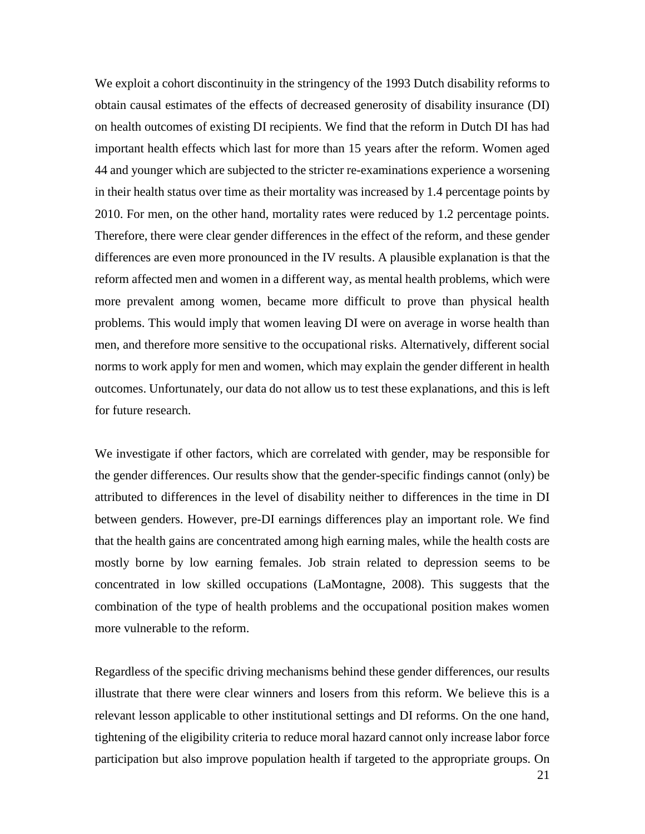We exploit a cohort discontinuity in the stringency of the 1993 Dutch disability reforms to obtain causal estimates of the effects of decreased generosity of disability insurance (DI) on health outcomes of existing DI recipients. We find that the reform in Dutch DI has had important health effects which last for more than 15 years after the reform. Women aged 44 and younger which are subjected to the stricter re-examinations experience a worsening in their health status over time as their mortality was increased by 1.4 percentage points by 2010. For men, on the other hand, mortality rates were reduced by 1.2 percentage points. Therefore, there were clear gender differences in the effect of the reform, and these gender differences are even more pronounced in the IV results. A plausible explanation is that the reform affected men and women in a different way, as mental health problems, which were more prevalent among women, became more difficult to prove than physical health problems. This would imply that women leaving DI were on average in worse health than men, and therefore more sensitive to the occupational risks. Alternatively, different social norms to work apply for men and women, which may explain the gender different in health outcomes. Unfortunately, our data do not allow us to test these explanations, and this is left for future research.

We investigate if other factors, which are correlated with gender, may be responsible for the gender differences. Our results show that the gender-specific findings cannot (only) be attributed to differences in the level of disability neither to differences in the time in DI between genders. However, pre-DI earnings differences play an important role. We find that the health gains are concentrated among high earning males, while the health costs are mostly borne by low earning females. Job strain related to depression seems to be concentrated in low skilled occupations (LaMontagne, 2008). This suggests that the combination of the type of health problems and the occupational position makes women more vulnerable to the reform.

Regardless of the specific driving mechanisms behind these gender differences, our results illustrate that there were clear winners and losers from this reform. We believe this is a relevant lesson applicable to other institutional settings and DI reforms. On the one hand, tightening of the eligibility criteria to reduce moral hazard cannot only increase labor force participation but also improve population health if targeted to the appropriate groups. On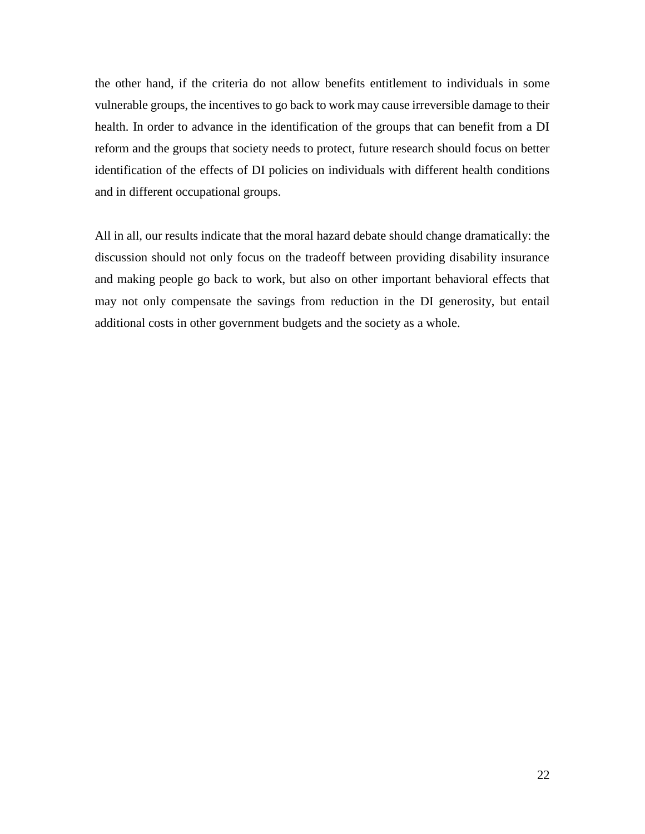the other hand, if the criteria do not allow benefits entitlement to individuals in some vulnerable groups, the incentives to go back to work may cause irreversible damage to their health. In order to advance in the identification of the groups that can benefit from a DI reform and the groups that society needs to protect, future research should focus on better identification of the effects of DI policies on individuals with different health conditions and in different occupational groups.

All in all, our results indicate that the moral hazard debate should change dramatically: the discussion should not only focus on the tradeoff between providing disability insurance and making people go back to work, but also on other important behavioral effects that may not only compensate the savings from reduction in the DI generosity, but entail additional costs in other government budgets and the society as a whole.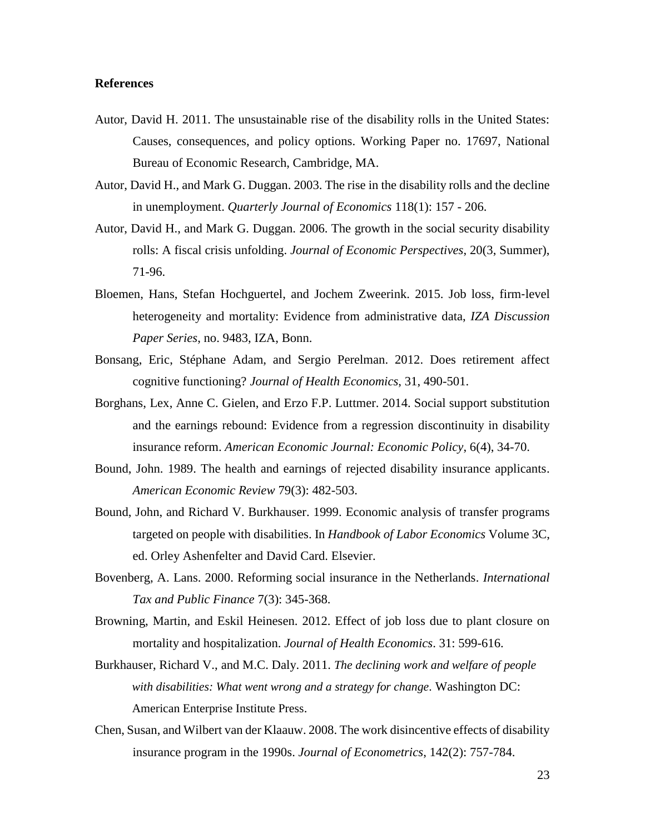#### **References**

- Autor, David H. 2011. The unsustainable rise of the disability rolls in the United States: Causes, consequences, and policy options. Working Paper no. 17697, National Bureau of Economic Research, Cambridge, MA.
- Autor, David H., and Mark G. Duggan. 2003. The rise in the disability rolls and the decline in unemployment. *Quarterly Journal of Economics* 118(1): 157 - 206.
- Autor, David H., and Mark G. Duggan. 2006. The growth in the social security disability rolls: A fiscal crisis unfolding. *Journal of Economic Perspectives*, 20(3, Summer), 71-96.
- Bloemen, Hans, Stefan Hochguertel, and Jochem Zweerink. 2015. [Job loss, firm](http://www.iza.org/en/webcontent/publications/papers/viewAbstract?dp_id=9483)‐level [heterogeneity and mortality: Evidence from administrative data,](http://www.iza.org/en/webcontent/publications/papers/viewAbstract?dp_id=9483) *IZA Discussion Paper Series*, no. 9483, IZA, Bonn.
- Bonsang, Eric, Stéphane Adam, and Sergio Perelman. 2012. Does retirement affect cognitive functioning? *Journal of Health Economics*, 31, 490-501.
- Borghans, Lex, Anne C. Gielen, and Erzo F.P. Luttmer. 2014. Social support substitution and the earnings rebound: Evidence from a regression discontinuity in disability insurance reform. *American Economic Journal: Economic Policy*, 6(4), 34-70.
- Bound, John. 1989. The health and earnings of rejected disability insurance applicants. *American Economic Review* 79(3): 482-503.
- Bound, John, and Richard V. Burkhauser. 1999. Economic analysis of transfer programs targeted on people with disabilities. In *Handbook of Labor Economics* Volume 3C, ed. Orley Ashenfelter and David Card. Elsevier.
- Bovenberg, A. Lans. 2000. Reforming social insurance in the Netherlands. *International Tax and Public Finance* 7(3): 345-368.
- Browning, Martin, and Eskil Heinesen. 2012. Effect of job loss due to plant closure on mortality and hospitalization. *Journal of Health Economics*. 31: 599-616.
- Burkhauser, Richard V., and M.C. Daly. 2011. *The declining work and welfare of people with disabilities: What went wrong and a strategy for change.* Washington DC: American Enterprise Institute Press.
- Chen, Susan, and Wilbert van der Klaauw. 2008. The work disincentive effects of disability insurance program in the 1990s. *Journal of Econometrics*, 142(2): 757-784.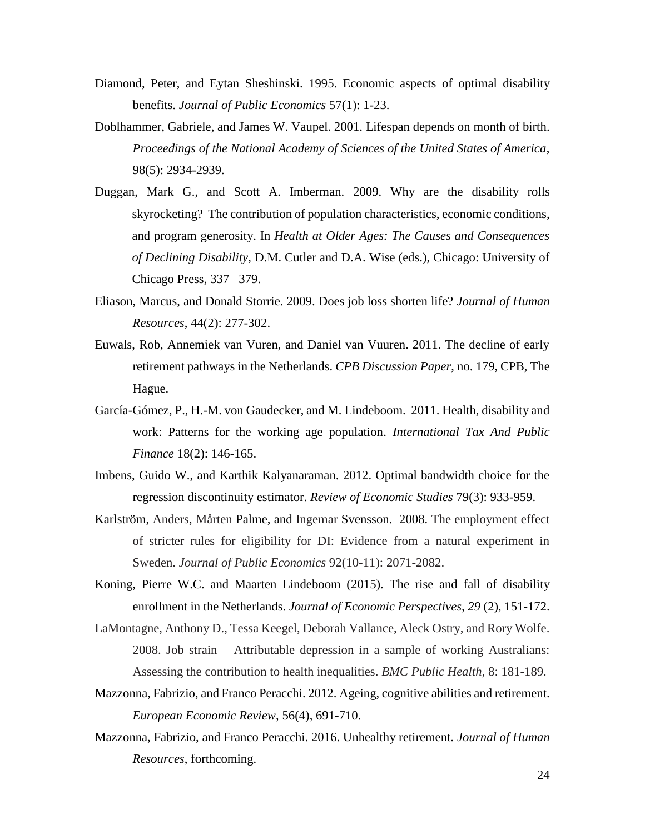- Diamond, Peter, and Eytan Sheshinski. 1995. Economic aspects of optimal disability benefits. *Journal of Public Economics* 57(1): 1-23.
- Doblhammer, Gabriele, and James W. Vaupel. 2001. Lifespan depends on month of birth. *Proceedings of the National Academy of Sciences of the United States of America*, 98(5): 2934-2939.
- Duggan, Mark G., and Scott A. Imberman. 2009. Why are the disability rolls skyrocketing? The contribution of population characteristics, economic conditions, and program generosity. In *Health at Older Ages: The Causes and Consequences of Declining Disability,* D.M. Cutler and D.A. Wise (eds.), Chicago: University of Chicago Press, 337– 379.
- Eliason, Marcus, and Donald Storrie. 2009. Does job loss shorten life? *Journal of Human Resources*, 44(2): 277-302.
- Euwals, Rob, Annemiek van Vuren, and Daniel van Vuuren. 2011. The decline of early retirement pathways in the Netherlands. *CPB Discussion Paper*, no. 179, CPB, The Hague.
- García-Gómez, P., H.-M. von Gaudecker, and M. Lindeboom. 2011. Health, disability and work: Patterns for the working age population. *International Tax And Public Finance* 18(2): 146-165.
- Imbens, Guido W., and Karthik Kalyanaraman. 2012. Optimal bandwidth choice for the regression discontinuity estimator. *Review of Economic Studies* 79(3): 933-959.
- Karlström, Anders, Mårten Palme, and Ingemar Svensson. 2008. The employment effect of stricter rules for eligibility for DI: Evidence from a natural experiment in Sweden. *Journal of Public Economics* 92(10-11): 2071-2082.
- Koning, Pierre W.C. and Maarten Lindeboom (2015). The rise and fall of disability enrollment in the Netherlands. *Journal of Economic Perspectives, 29* (2), 151-172.
- LaMontagne, Anthony D., Tessa Keegel, Deborah Vallance, Aleck Ostry, and Rory Wolfe. 2008. Job strain – Attributable depression in a sample of working Australians: Assessing the contribution to health inequalities. *BMC Public Health*, 8: 181-189.
- Mazzonna, Fabrizio, and Franco Peracchi. 2012. Ageing, cognitive abilities and retirement. *European Economic Review*, 56(4), 691-710.
- Mazzonna, Fabrizio, and Franco Peracchi. 2016. Unhealthy retirement. *Journal of Human Resources*, forthcoming.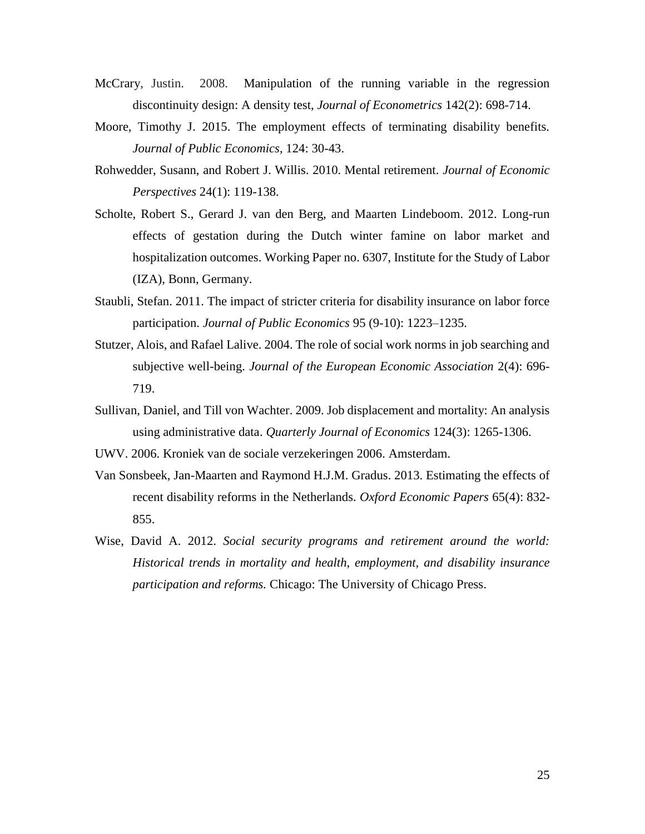- McCrary, Justin. 2008. Manipulation of the running variable in the regression discontinuity design: A density test, *Journal of Econometrics* 142(2): 698-714.
- Moore, Timothy J. 2015. The employment effects of terminating disability benefits. *Journal of Public Economics*, 124: 30-43.
- Rohwedder, Susann, and Robert J. Willis. 2010. Mental retirement. *Journal of Economic Perspectives* 24(1): 119-138.
- Scholte, Robert S., Gerard J. van den Berg, and Maarten Lindeboom. 2012. Long-run effects of gestation during the Dutch winter famine on labor market and hospitalization outcomes. Working Paper no. 6307, Institute for the Study of Labor (IZA), Bonn, Germany.
- Staubli, Stefan. 2011. The impact of stricter criteria for disability insurance on labor force participation. *Journal of Public Economics* 95 (9-10): 1223–1235.
- Stutzer, Alois, and Rafael Lalive. 2004. The role of social work norms in job searching and subjective well-being. *Journal of the European Economic Association* 2(4): 696- 719.
- Sullivan, Daniel, and Till von Wachter. 2009. Job displacement and mortality: An analysis using administrative data. *Quarterly Journal of Economics* 124(3): 1265-1306.
- UWV. 2006. Kroniek van de sociale verzekeringen 2006. Amsterdam.
- Van Sonsbeek, Jan-Maarten and Raymond H.J.M. Gradus. 2013. Estimating the effects of recent disability reforms in the Netherlands. *Oxford Economic Papers* 65(4): 832- 855.
- Wise, David A. 2012. *Social security programs and retirement around the world: Historical trends in mortality and health, employment, and disability insurance participation and reforms.* Chicago: The University of Chicago Press.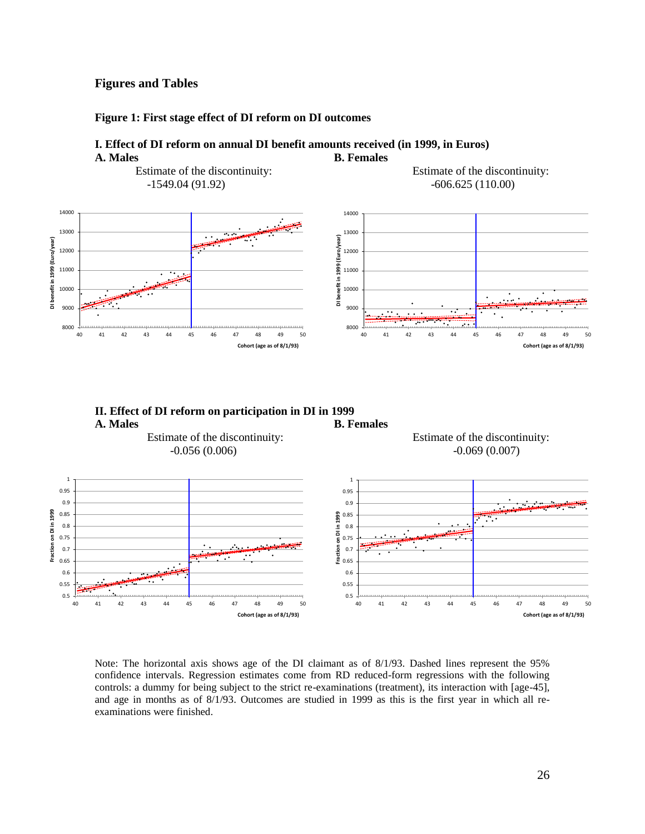#### **Figures and Tables**

 $0.5 \frac{1}{40}$ 

40 41 42 43 44 45 46 47 48 49 50

#### **Figure 1: First stage effect of DI reform on DI outcomes**

#### **I. Effect of DI reform on annual DI benefit amounts received (in 1999, in Euros)** A. Males **B. Females**



Note: The horizontal axis shows age of the DI claimant as of 8/1/93. Dashed lines represent the 95% confidence intervals. Regression estimates come from RD reduced-form regressions with the following controls: a dummy for being subject to the strict re-examinations (treatment), its interaction with [age-45], and age in months as of 8/1/93. Outcomes are studied in 1999 as this is the first year in which all reexaminations were finished.

 $0.5 + 40$ 

**Cohort (age as of 8/1/93)**

**Cohort (age as of 8/1/93)**

40 41 42 43 44 45 46 47 48 49 50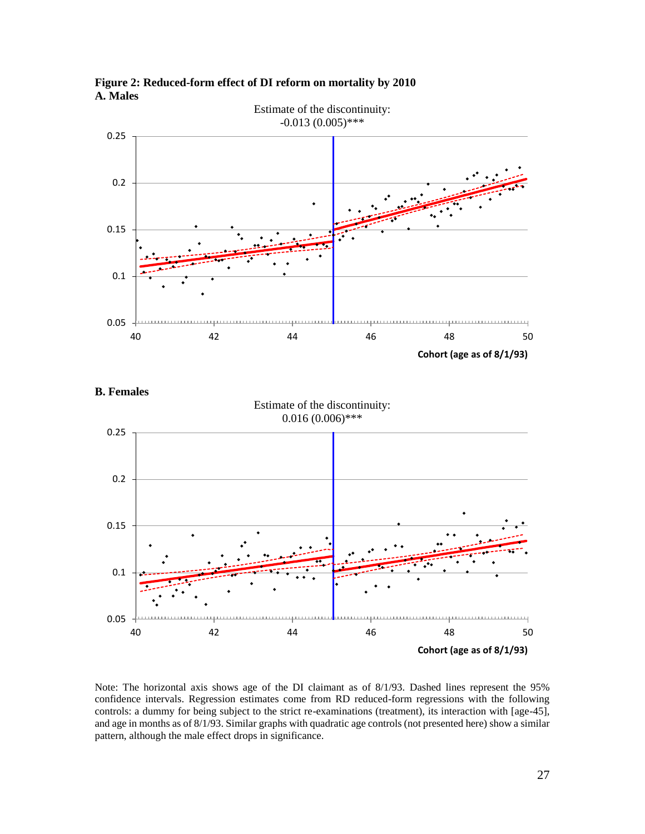

**Figure 2: Reduced-form effect of DI reform on mortality by 2010 A. Males**

**B. Females**



Note: The horizontal axis shows age of the DI claimant as of 8/1/93. Dashed lines represent the 95% confidence intervals. Regression estimates come from RD reduced-form regressions with the following controls: a dummy for being subject to the strict re-examinations (treatment), its interaction with [age-45], and age in months as of 8/1/93. Similar graphs with quadratic age controls (not presented here) show a similar pattern, although the male effect drops in significance.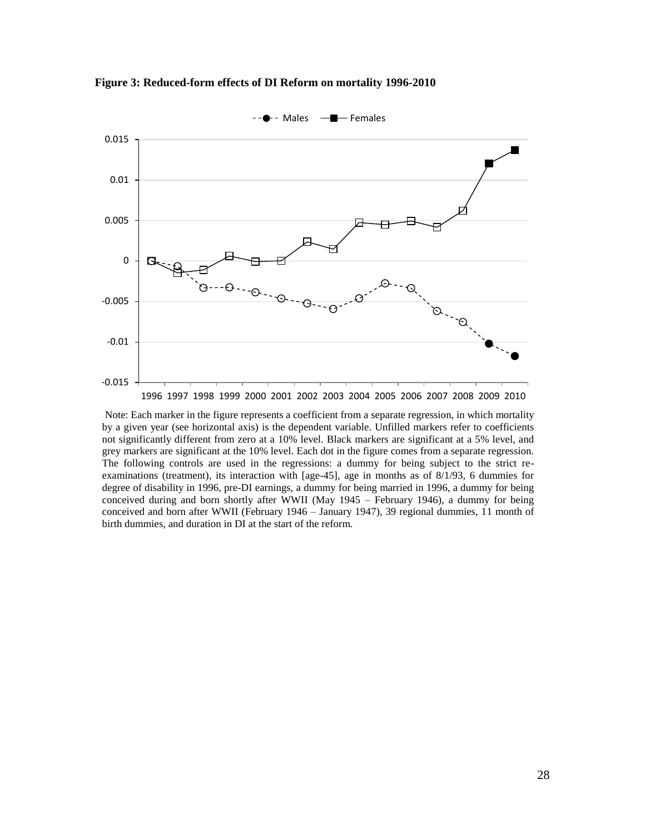



Note: Each marker in the figure represents a coefficient from a separate regression, in which mortality by a given year (see horizontal axis) is the dependent variable. Unfilled markers refer to coefficients not significantly different from zero at a 10% level. Black markers are significant at a 5% level, and grey markers are significant at the 10% level. Each dot in the figure comes from a separate regression. The following controls are used in the regressions: a dummy for being subject to the strict reexaminations (treatment), its interaction with [age-45], age in months as of 8/1/93, 6 dummies for degree of disability in 1996, pre-DI earnings, a dummy for being married in 1996, a dummy for being conceived during and born shortly after WWII (May 1945 – February 1946), a dummy for being conceived and born after WWII (February 1946 – January 1947), 39 regional dummies, 11 month of birth dummies, and duration in DI at the start of the reform.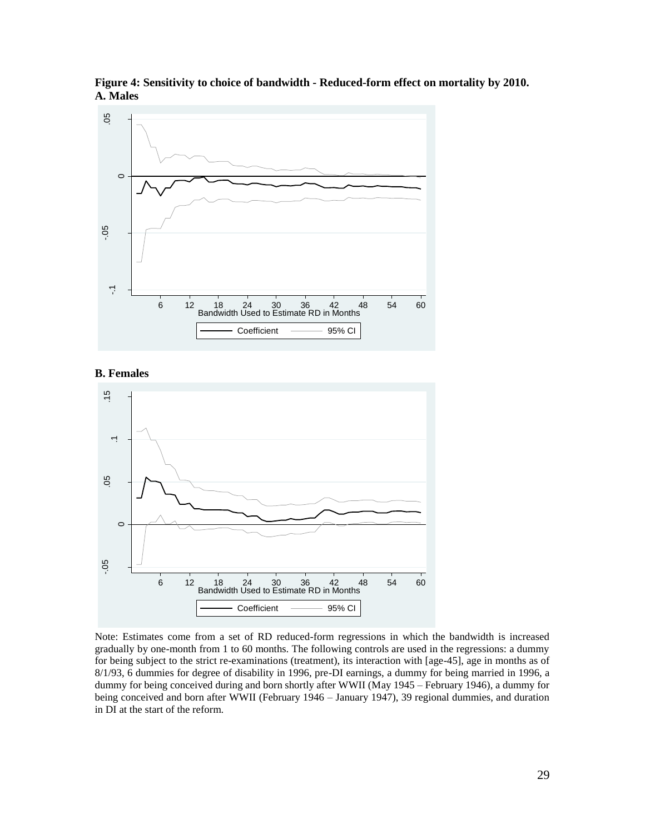

**Figure 4: Sensitivity to choice of bandwidth - Reduced-form effect on mortality by 2010. A. Males** 

#### **B. Females**



Note: Estimates come from a set of RD reduced-form regressions in which the bandwidth is increased gradually by one-month from 1 to 60 months. The following controls are used in the regressions: a dummy for being subject to the strict re-examinations (treatment), its interaction with [age-45], age in months as of 8/1/93, 6 dummies for degree of disability in 1996, pre-DI earnings, a dummy for being married in 1996, a dummy for being conceived during and born shortly after WWII (May 1945 – February 1946), a dummy for being conceived and born after WWII (February 1946 – January 1947), 39 regional dummies, and duration in DI at the start of the reform.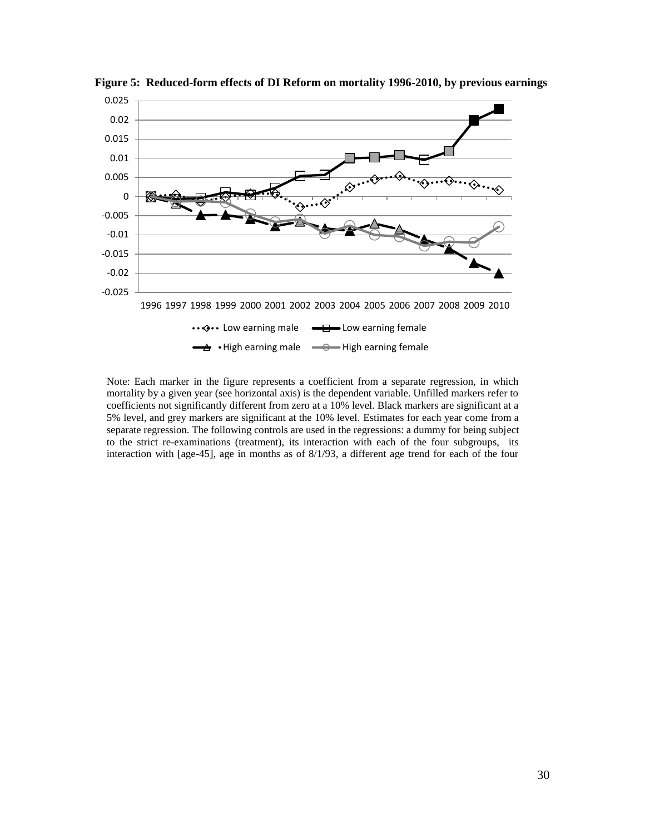

**Figure 5: Reduced-form effects of DI Reform on mortality 1996-2010, by previous earnings**

Note: Each marker in the figure represents a coefficient from a separate regression, in which mortality by a given year (see horizontal axis) is the dependent variable. Unfilled markers refer to coefficients not significantly different from zero at a 10% level. Black markers are significant at a 5% level, and grey markers are significant at the 10% level. Estimates for each year come from a separate regression. The following controls are used in the regressions: a dummy for being subject to the strict re-examinations (treatment), its interaction with each of the four subgroups, its interaction with [age-45], age in months as of 8/1/93, a different age trend for each of the four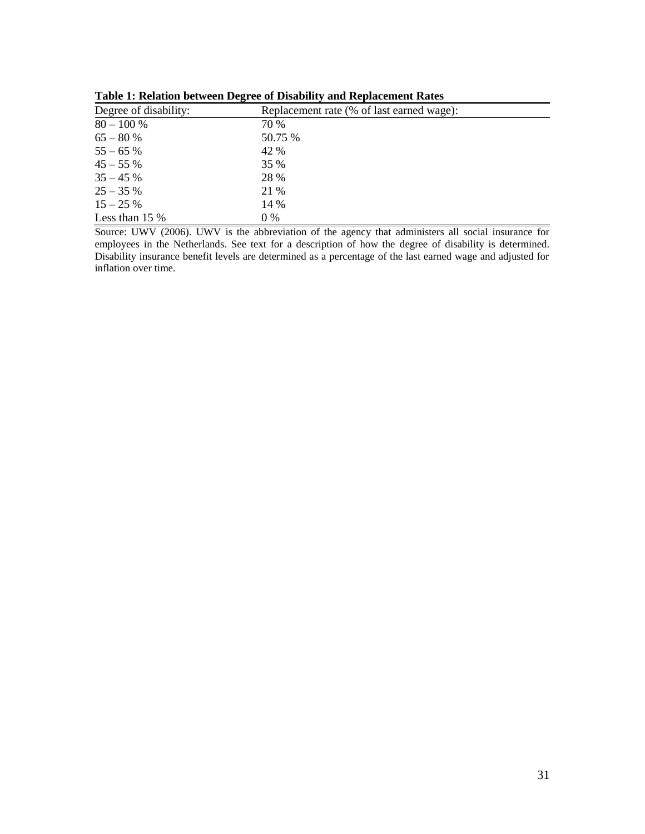|                       | -                                         |  |  |  |
|-----------------------|-------------------------------------------|--|--|--|
| Degree of disability: | Replacement rate (% of last earned wage): |  |  |  |
| $80 - 100 %$          | 70 %                                      |  |  |  |
| $65 - 80%$            | 50.75 %                                   |  |  |  |
| $55 - 65%$            | 42 %                                      |  |  |  |
| $45 - 55%$            | <b>35 %</b>                               |  |  |  |
| $35 - 45%$            | 28 %                                      |  |  |  |
| $25 - 35%$            | 21 %                                      |  |  |  |
| $15 - 25%$            | 14 %                                      |  |  |  |
| Less than $15\%$      | $0\%$                                     |  |  |  |

**Table 1: Relation between Degree of Disability and Replacement Rates**

Source: UWV (2006). UWV is the abbreviation of the agency that administers all social insurance for employees in the Netherlands. See text for a description of how the degree of disability is determined. Disability insurance benefit levels are determined as a percentage of the last earned wage and adjusted for inflation over time.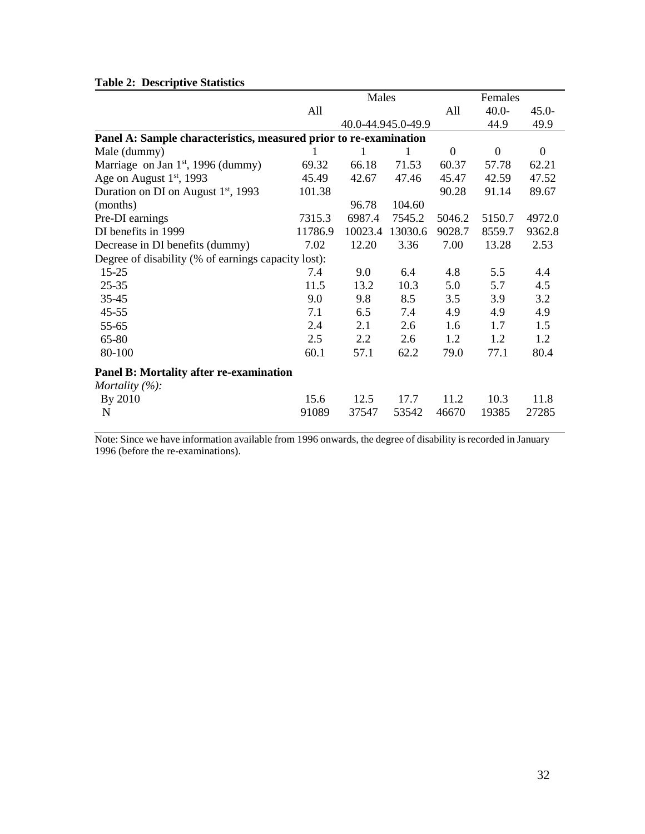### **Table 2: Descriptive Statistics**

| rabic $\mu$ . Descriptive blatistics                              |         |         |                    |                  |              |                  |
|-------------------------------------------------------------------|---------|---------|--------------------|------------------|--------------|------------------|
|                                                                   | Males   |         |                    | Females          |              |                  |
|                                                                   | All     |         |                    | All              | $40.0 -$     | $45.0 -$         |
|                                                                   |         |         | 40.0-44.945.0-49.9 |                  | 44.9         | 49.9             |
| Panel A: Sample characteristics, measured prior to re-examination |         |         |                    |                  |              |                  |
| Male (dummy)                                                      |         | 1       | 1                  | $\boldsymbol{0}$ | $\mathbf{0}$ | $\boldsymbol{0}$ |
| Marriage on Jan $1st$ , 1996 (dummy)                              | 69.32   | 66.18   | 71.53              | 60.37            | 57.78        | 62.21            |
| Age on August 1 <sup>st</sup> , 1993                              | 45.49   | 42.67   | 47.46              | 45.47            | 42.59        | 47.52            |
| Duration on DI on August 1 <sup>st</sup> , 1993                   | 101.38  |         |                    | 90.28            | 91.14        | 89.67            |
| (months)                                                          |         | 96.78   | 104.60             |                  |              |                  |
| Pre-DI earnings                                                   | 7315.3  | 6987.4  | 7545.2             | 5046.2           | 5150.7       | 4972.0           |
| DI benefits in 1999                                               | 11786.9 | 10023.4 | 13030.6            | 9028.7           | 8559.7       | 9362.8           |
| Decrease in DI benefits (dummy)                                   | 7.02    | 12.20   | 3.36               | 7.00             | 13.28        | 2.53             |
| Degree of disability (% of earnings capacity lost):               |         |         |                    |                  |              |                  |
| $15 - 25$                                                         | 7.4     | 9.0     | 6.4                | 4.8              | 5.5          | 4.4              |
| $25 - 35$                                                         | 11.5    | 13.2    | 10.3               | 5.0              | 5.7          | 4.5              |
| $35 - 45$                                                         | 9.0     | 9.8     | 8.5                | 3.5              | 3.9          | 3.2              |
| $45 - 55$                                                         | 7.1     | 6.5     | 7.4                | 4.9              | 4.9          | 4.9              |
| 55-65                                                             | 2.4     | 2.1     | 2.6                | 1.6              | 1.7          | 1.5              |
| 65-80                                                             | 2.5     | 2.2     | 2.6                | 1.2              | 1.2          | 1.2              |
| 80-100                                                            | 60.1    | 57.1    | 62.2               | 79.0             | 77.1         | 80.4             |
| Panel B: Mortality after re-examination                           |         |         |                    |                  |              |                  |
| Mortality $(\%):$                                                 |         |         |                    |                  |              |                  |
| By 2010                                                           | 15.6    | 12.5    | 17.7               | 11.2             | 10.3         | 11.8             |
| N                                                                 | 91089   | 37547   | 53542              | 46670            | 19385        | 27285            |
|                                                                   |         |         |                    |                  |              |                  |

Note: Since we have information available from 1996 onwards, the degree of disability is recorded in January 1996 (before the re-examinations).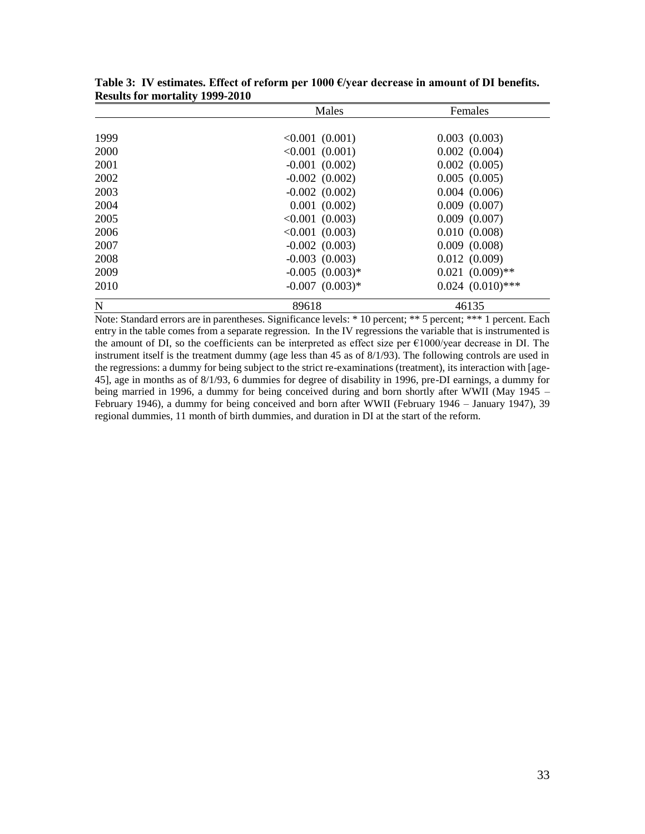|             | Males               | Females               |  |  |
|-------------|---------------------|-----------------------|--|--|
|             |                     |                       |  |  |
| 1999        | $< 0.001$ (0.001)   | $0.003$ $(0.003)$     |  |  |
| 2000        | $< 0.001$ $(0.001)$ | $0.002$ $(0.004)$     |  |  |
| 2001        | $-0.001$ $(0.002)$  | $0.002$ $(0.005)$     |  |  |
| 2002        | $-0.002$ $(0.002)$  | 0.005(0.005)          |  |  |
| 2003        | $-0.002$ $(0.002)$  | $0.004$ $(0.006)$     |  |  |
| 2004        | $0.001$ $(0.002)$   | $0.009$ $(0.007)$     |  |  |
| 2005        | $< 0.001$ (0.003)   | $0.009$ $(0.007)$     |  |  |
| 2006        | $< 0.001$ (0.003)   | 0.010(0.008)          |  |  |
| 2007        | $-0.002$ $(0.003)$  | $0.009$ $(0.008)$     |  |  |
| 2008        | $-0.003$ $(0.003)$  | 0.012(0.009)          |  |  |
| 2009        | $-0.005$ $(0.003)*$ | $0.021 (0.009)$ **    |  |  |
| 2010        | $-0.007$ $(0.003)*$ | $0.024$ $(0.010)$ *** |  |  |
| $\mathbf N$ | 89618               | 46135                 |  |  |

**Table 3: IV estimates. Effect of reform per 1000 €/year decrease in amount of DI benefits. Results for mortality 1999-2010**

Note: Standard errors are in parentheses. Significance levels: \* 10 percent; \*\* 5 percent; \*\*\* 1 percent. Each entry in the table comes from a separate regression. In the IV regressions the variable that is instrumented is the amount of DI, so the coefficients can be interpreted as effect size per  $\epsilon$ 1000/year decrease in DI. The instrument itself is the treatment dummy (age less than 45 as of 8/1/93). The following controls are used in the regressions: a dummy for being subject to the strict re-examinations (treatment), its interaction with [age-45], age in months as of 8/1/93, 6 dummies for degree of disability in 1996, pre-DI earnings, a dummy for being married in 1996, a dummy for being conceived during and born shortly after WWII (May 1945 – February 1946), a dummy for being conceived and born after WWII (February 1946 – January 1947), 39 regional dummies, 11 month of birth dummies, and duration in DI at the start of the reform.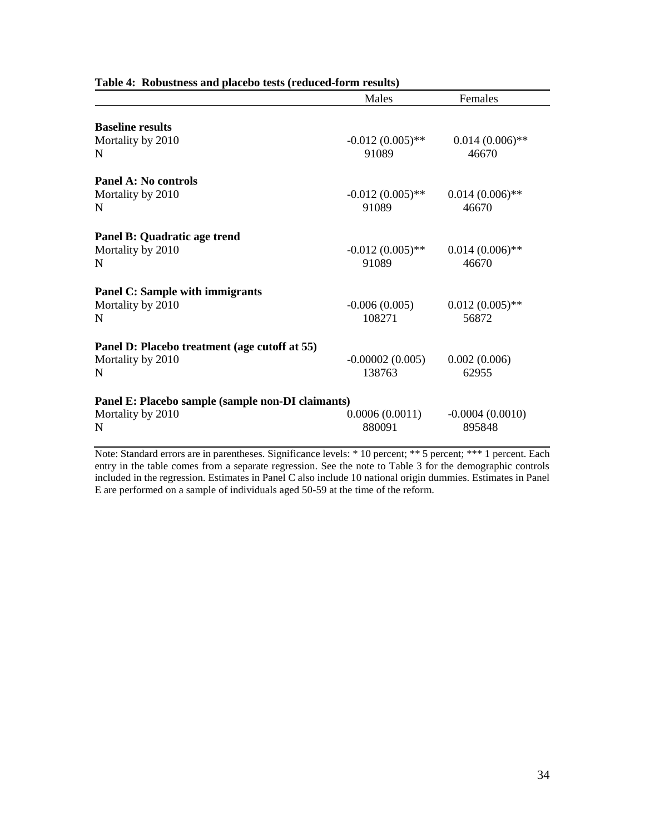|                                                                             | Males                       | Females                     |
|-----------------------------------------------------------------------------|-----------------------------|-----------------------------|
| <b>Baseline results</b><br>Mortality by 2010<br>N                           | $-0.012(0.005)$ **<br>91089 | $0.014(0.006)$ **<br>46670  |
| <b>Panel A: No controls</b><br>Mortality by 2010<br>N                       | $-0.012(0.005)$ **<br>91089 | $0.014(0.006)$ **<br>46670  |
| Panel B: Quadratic age trend<br>Mortality by 2010<br>N                      | $-0.012(0.005)$ **<br>91089 | $0.014(0.006)$ **<br>46670  |
| <b>Panel C: Sample with immigrants</b><br>Mortality by 2010<br>N            | $-0.006(0.005)$<br>108271   | $0.012(0.005)$ **<br>56872  |
| Panel D: Placebo treatment (age cutoff at 55)<br>Mortality by 2010<br>N     | $-0.00002(0.005)$<br>138763 | 0.002(0.006)<br>62955       |
| Panel E: Placebo sample (sample non-DI claimants)<br>Mortality by 2010<br>N | 0.0006(0.0011)<br>880091    | $-0.0004(0.0010)$<br>895848 |

#### **Table 4: Robustness and placebo tests (reduced-form results)**

Note: Standard errors are in parentheses. Significance levels: \* 10 percent; \*\* 5 percent; \*\*\* 1 percent. Each entry in the table comes from a separate regression. See the note to Table 3 for the demographic controls included in the regression. Estimates in Panel C also include 10 national origin dummies. Estimates in Panel E are performed on a sample of individuals aged 50-59 at the time of the reform.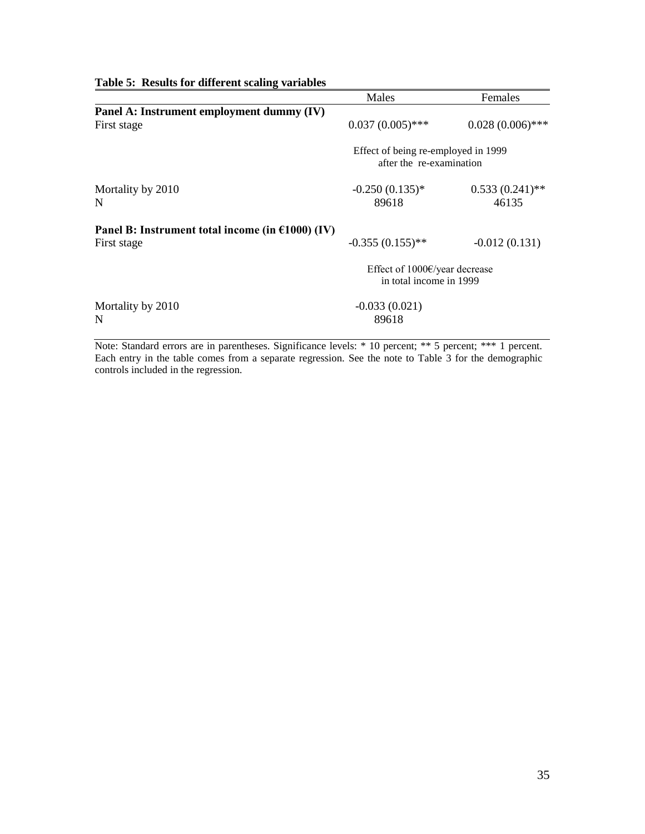| $1000$ $\sigma$ . Abouts for univertile scaling variables |                                                                   |                            |  |
|-----------------------------------------------------------|-------------------------------------------------------------------|----------------------------|--|
|                                                           | Males                                                             | Females                    |  |
| Panel A: Instrument employment dummy (IV)                 |                                                                   |                            |  |
| First stage                                               | $0.037(0.005)$ ***                                                | $0.028(0.006)$ ***         |  |
|                                                           | Effect of being re-employed in 1999<br>after the re-examination   |                            |  |
| Mortality by 2010<br>N                                    | $-0.250(0.135)*$<br>89618                                         | $0.533(0.241)$ **<br>46135 |  |
| Panel B: Instrument total income (in $£1000$ ) (IV)       |                                                                   |                            |  |
| First stage                                               | $-0.355(0.155)$ **                                                | $-0.012(0.131)$            |  |
|                                                           | Effect of $1000 \infty$ /year decrease<br>in total income in 1999 |                            |  |
| Mortality by 2010                                         | $-0.033(0.021)$                                                   |                            |  |
| N                                                         | 89618                                                             |                            |  |

**Table 5: Results for different scaling variables** 

Note: Standard errors are in parentheses. Significance levels: \* 10 percent; \*\* 5 percent; \*\*\* 1 percent. Each entry in the table comes from a separate regression. See the note to Table 3 for the demographic controls included in the regression.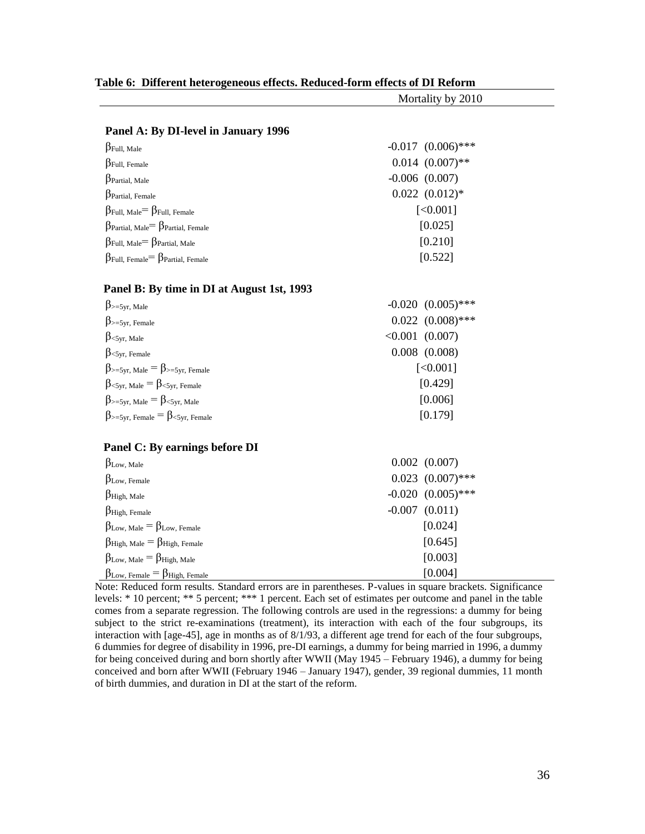|                                                                   | Mortality by 2010      |  |  |  |  |
|-------------------------------------------------------------------|------------------------|--|--|--|--|
|                                                                   |                        |  |  |  |  |
| Panel A: By DI-level in January 1996                              |                        |  |  |  |  |
| $\beta$ Full, Male                                                | $-0.017$ $(0.006)$ *** |  |  |  |  |
| $\beta$ Full, Female                                              | $0.014$ $(0.007)$ **   |  |  |  |  |
| $\beta$ Partial, Male                                             | $-0.006$ $(0.007)$     |  |  |  |  |
| $\beta$ Partial, Female                                           | $0.022$ $(0.012)*$     |  |  |  |  |
| $\beta_{\text{Full, Male}} = \beta_{\text{Full, Female}}$         | [<0.001]               |  |  |  |  |
| $\beta$ Partial, Male $= \beta$ Partial, Female                   | [0.025]                |  |  |  |  |
| $\beta_{\text{Full, Male}} = \beta_{\text{Partial, Male}}$        | [0.210]                |  |  |  |  |
| $\beta$ Full, Female $= \beta$ Partial, Female                    | [0.522]                |  |  |  |  |
| Panel B: By time in DI at August 1st, 1993                        |                        |  |  |  |  |
| $\beta_{\geq 5}$ yr, Male                                         | $-0.020$ $(0.005)$ *** |  |  |  |  |
| $\beta$ >=5yr, Female                                             | $0.022$ $(0.008)$ ***  |  |  |  |  |
| $\beta_{\text{<5yr, Male}}$                                       | $< 0.001$ $(0.007)$    |  |  |  |  |
| $\beta$ < 5yr, Female                                             | $0.008$ $(0.008)$      |  |  |  |  |
| $\beta_{\geq 5}$ yr, Male = $\beta_{\geq 5}$ yr, Female           | [<0.001]               |  |  |  |  |
| $\beta_{\leq 5}$ yr, Male = $\beta_{\leq 5}$ yr, Female           | [0.429]                |  |  |  |  |
| $\beta_{\geq 5yr, \text{ Male}} = \beta_{\leq 5yr, \text{ Male}}$ | [0.006]                |  |  |  |  |
| $\beta_{\geq 5}$ yr, Female $= \beta_{\leq 5}$ yr, Female         | [0.179]                |  |  |  |  |
| Panel C: By earnings before DI                                    |                        |  |  |  |  |
| $\beta_{Low, Male}$                                               | $0.002$ $(0.007)$      |  |  |  |  |
| $\beta$ Low, Female                                               | $0.023$ $(0.007)$ ***  |  |  |  |  |
| $\beta$ High, Male                                                | $-0.020$ $(0.005)$ *** |  |  |  |  |
| $\beta$ High, Female                                              | $-0.007$ $(0.011)$     |  |  |  |  |
| $\beta_{Low, Male} = \beta_{Low, Female}$                         | [0.024]                |  |  |  |  |
| $\beta$ High, Male = $\beta$ High, Female                         | [0.645]                |  |  |  |  |
| $\beta_{Low, Male} = \beta_{High, Male}$                          | [0.003]                |  |  |  |  |
| $\beta_{\text{Low, Female}} = \beta_{\text{High, Female}}$        | [0.004]                |  |  |  |  |

#### **Table 6: Different heterogeneous effects. Reduced-form effects of DI Reform**

Note: Reduced form results. Standard errors are in parentheses. P-values in square brackets. Significance levels: \* 10 percent; \*\* 5 percent; \*\*\* 1 percent. Each set of estimates per outcome and panel in the table comes from a separate regression. The following controls are used in the regressions: a dummy for being subject to the strict re-examinations (treatment), its interaction with each of the four subgroups, its interaction with [age-45], age in months as of 8/1/93, a different age trend for each of the four subgroups, 6 dummies for degree of disability in 1996, pre-DI earnings, a dummy for being married in 1996, a dummy for being conceived during and born shortly after WWII (May 1945 – February 1946), a dummy for being conceived and born after WWII (February 1946 – January 1947), gender, 39 regional dummies, 11 month of birth dummies, and duration in DI at the start of the reform.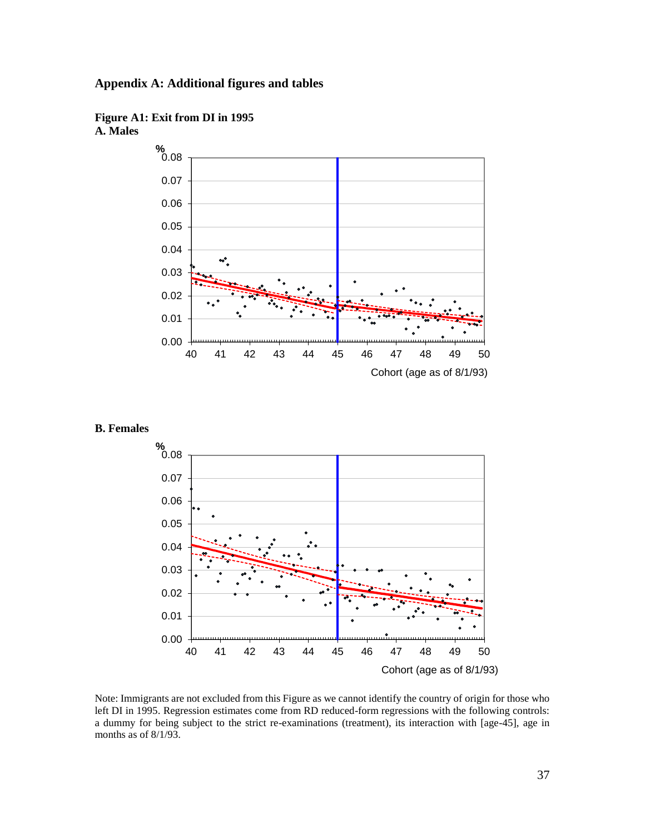





#### **B. Females**



Note: Immigrants are not excluded from this Figure as we cannot identify the country of origin for those who left DI in 1995. Regression estimates come from RD reduced-form regressions with the following controls: a dummy for being subject to the strict re-examinations (treatment), its interaction with [age-45], age in months as of 8/1/93.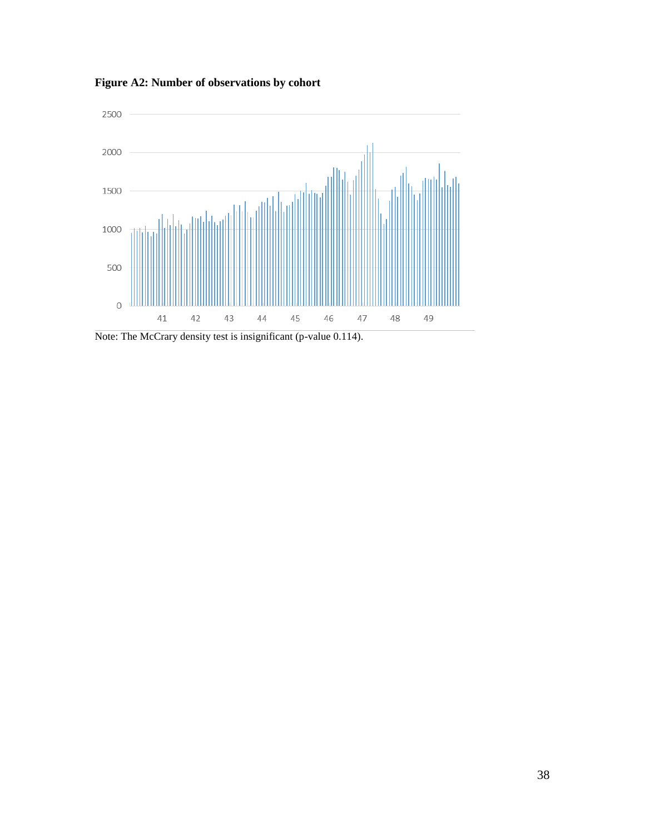

**Figure A2: Number of observations by cohort**

Note: The McCrary density test is insignificant (p-value 0.114).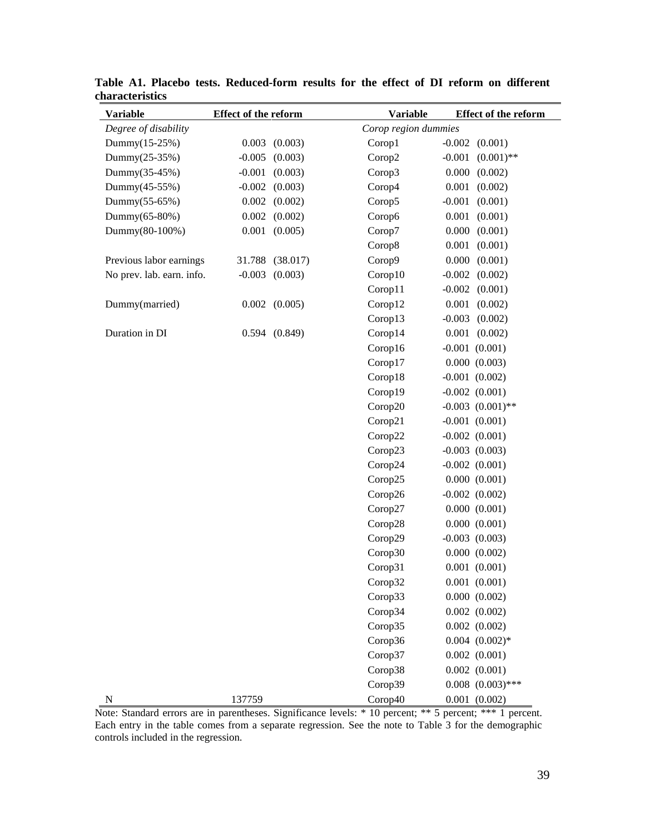| Variable                  | <b>Effect of the reform</b> |                   | <b>Variable</b>      |          | <b>Effect of the reform</b> |
|---------------------------|-----------------------------|-------------------|----------------------|----------|-----------------------------|
| Degree of disability      |                             |                   | Corop region dummies |          |                             |
| Dummy(15-25%)             | 0.003                       | (0.003)           | Corop1               | $-0.002$ | (0.001)                     |
| Dummy(25-35%)             | $-0.005$                    | (0.003)           | Corop2               | $-0.001$ | $(0.001)$ **                |
| Dummy(35-45%)             | $-0.001$                    | (0.003)           | Corop3               | 0.000    | (0.002)                     |
| Dummy(45-55%)             | $-0.002$                    | (0.003)           | Corop4               | 0.001    | (0.002)                     |
| Dummy(55-65%)             | 0.002                       | (0.002)           | Corop5               | $-0.001$ | (0.001)                     |
| Dummy(65-80%)             | 0.002                       | (0.002)           | Corop6               | 0.001    | (0.001)                     |
| Dummy(80-100%)            | 0.001                       | (0.005)           | Corop7               | 0.000    | (0.001)                     |
|                           |                             |                   | Corop8               | 0.001    | (0.001)                     |
| Previous labor earnings   | 31.788                      | (38.017)          | Corop9               | 0.000    | (0.001)                     |
| No prev. lab. earn. info. | $-0.003$                    | (0.003)           | Corop10              | $-0.002$ | (0.002)                     |
|                           |                             |                   | Corop11              | $-0.002$ | (0.001)                     |
| Dummy(married)            |                             | $0.002$ $(0.005)$ | Corop12              | 0.001    | (0.002)                     |
|                           |                             |                   | Corop13              | $-0.003$ | (0.002)                     |
| Duration in DI            |                             | $0.594$ $(0.849)$ | Corop14              | 0.001    | (0.002)                     |
|                           |                             |                   | Corop16              |          | $-0.001$ $(0.001)$          |
|                           |                             |                   | Corop17              |          | 0.000(0.003)                |
|                           |                             |                   | Corop18              |          | $-0.001$ $(0.002)$          |
|                           |                             |                   | Corop19              |          | $-0.002$ $(0.001)$          |
|                           |                             |                   | Corop20              |          | $-0.003$ $(0.001)$ **       |
|                           |                             |                   | Corop21              |          | $-0.001$ $(0.001)$          |
|                           |                             |                   | Corop22              |          | $-0.002$ $(0.001)$          |
|                           |                             |                   | Corop23              |          | $-0.003$ $(0.003)$          |
|                           |                             |                   | Corop24              |          | $-0.002$ $(0.001)$          |
|                           |                             |                   | Corop25              |          | 0.000(0.001)                |
|                           |                             |                   | Corop26              |          | $-0.002$ $(0.002)$          |
|                           |                             |                   | Corop27              |          | 0.000(0.001)                |
|                           |                             |                   | Corop28              |          | 0.000(0.001)                |
|                           |                             |                   | Corop29              |          | $-0.003$ $(0.003)$          |
|                           |                             |                   | Corop30              |          | 0.000 (0.002)               |
|                           |                             |                   | Corop31              |          | $0.001$ $(0.001)$           |
|                           |                             |                   | Corop32              |          | $0.001$ $(0.001)$           |
|                           |                             |                   | Corop33              |          | 0.000 (0.002)               |
|                           |                             |                   | Corop34              |          | $0.002$ $(0.002)$           |
|                           |                             |                   | Corop35              |          | $0.002$ $(0.002)$           |
|                           |                             |                   | Corop36              |          | $0.004$ $(0.002)*$          |
|                           |                             |                   | Corop37              |          | $0.002$ $(0.001)$           |
|                           |                             |                   | Corop38              |          | $0.002$ $(0.001)$           |
|                           |                             |                   | Corop39              |          | $0.008$ $(0.003)$ ***       |
| ${\bf N}$                 | 137759                      |                   | Corop40              |          | $0.001$ $(0.002)$           |

**Table A1. Placebo tests. Reduced-form results for the effect of DI reform on different characteristics**

Note: Standard errors are in parentheses. Significance levels: \* 10 percent; \*\* 5 percent; \*\*\* 1 percent. Each entry in the table comes from a separate regression. See the note to Table 3 for the demographic controls included in the regression.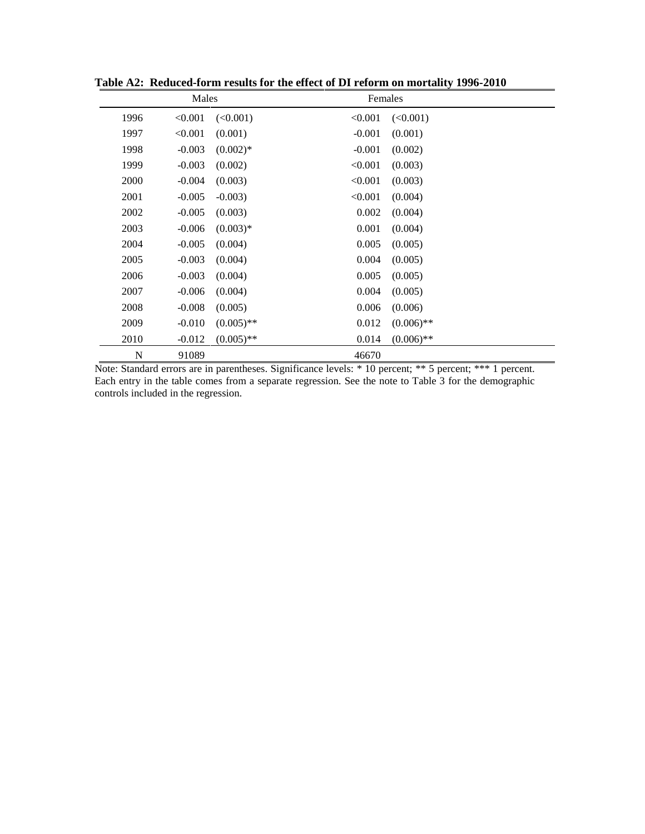| Males       |          | Females      |          |              |
|-------------|----------|--------------|----------|--------------|
| 1996        | < 0.001  | (<0.001)     | < 0.001  | (<0.001)     |
| 1997        | < 0.001  | (0.001)      | $-0.001$ | (0.001)      |
| 1998        | $-0.003$ | $(0.002)*$   | $-0.001$ | (0.002)      |
| 1999        | $-0.003$ | (0.002)      | < 0.001  | (0.003)      |
| 2000        | $-0.004$ | (0.003)      | < 0.001  | (0.003)      |
| 2001        | $-0.005$ | $-0.003$ )   | < 0.001  | (0.004)      |
| 2002        | $-0.005$ | (0.003)      | 0.002    | (0.004)      |
| 2003        | $-0.006$ | $(0.003)*$   | 0.001    | (0.004)      |
| 2004        | $-0.005$ | (0.004)      | 0.005    | (0.005)      |
| 2005        | $-0.003$ | (0.004)      | 0.004    | (0.005)      |
| 2006        | $-0.003$ | (0.004)      | 0.005    | (0.005)      |
| 2007        | $-0.006$ | (0.004)      | 0.004    | (0.005)      |
| 2008        | $-0.008$ | (0.005)      | 0.006    | (0.006)      |
| 2009        | $-0.010$ | $(0.005)$ ** | 0.012    | $(0.006)$ ** |
| 2010        | $-0.012$ | $(0.005)$ ** | 0.014    | $(0.006)$ ** |
| $\mathbf N$ | 91089    |              | 46670    |              |

**Table A2: Reduced-form results for the effect of DI reform on mortality 1996-2010**

Note: Standard errors are in parentheses. Significance levels: \* 10 percent; \*\* 5 percent; \*\*\* 1 percent. Each entry in the table comes from a separate regression. See the note to Table 3 for the demographic controls included in the regression.